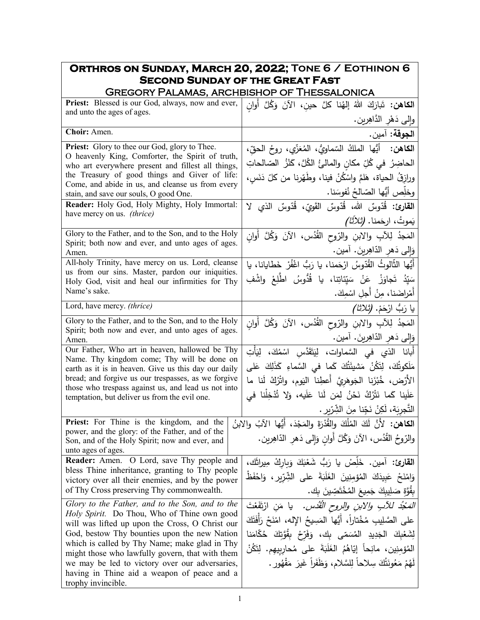| ORTHROS ON SUNDAY, MARCH 20, 2022; TONE 6 / EOTHINON 6                                                   |                                                                                  |  |  |
|----------------------------------------------------------------------------------------------------------|----------------------------------------------------------------------------------|--|--|
| <b>SECOND SUNDAY OF THE GREAT FAST</b><br><b>GREGORY PALAMAS, ARCHBISHOP OF THESSALONICA</b>             |                                                                                  |  |  |
| Priest: Blessed is our God, always, now and ever,                                                        |                                                                                  |  |  |
| and unto the ages of ages.                                                                               | ا <b>لكاهن:</b> تَبارَكَ اللهُ إلهُنا كلَّ حينِ، الآنَ وَكُلَّ أُوانِ            |  |  |
|                                                                                                          | وإِلَى دَهْرِ الدَّاهِرِينِ.                                                     |  |  |
| Choir: Amen.                                                                                             | ا <b>لجوقة:</b> آمين.                                                            |  |  |
| <b>Priest:</b> Glory to thee our God, glory to Thee.<br>O heavenly King, Comforter, the Spirit of truth, | الكاهن: أَيُّها الملكُ السّماويُّ، المُعَزِّي، روحُ الحقِّ،                      |  |  |
| who art everywhere present and fillest all things,                                                       | الحاضِرُ  في كُلِّ مكانٍ والمالئُ الكُلَّ، كَنْزُ  الصّالحاتِ                    |  |  |
| the Treasury of good things and Giver of life:                                                           | ورازِقُ الحياة، هَلمَّ واسْكُنْ فينا، وطَهَّرنا من كلّ دَنَسٍ،                   |  |  |
| Come, and abide in us, and cleanse us from every<br>stain, and save our souls, O good One.               | وخلِّص أَيُّها الصّالحُ نُفوسَنا.                                                |  |  |
| Reader: Holy God, Holy Mighty, Holy Immortal:                                                            | ا <b>لقارئ:</b> قُدّوسٌ الله، قُدّوسٌ القَويّ، قُدّوسٌ الذ <i>ي لا</i>           |  |  |
| have mercy on us. (thrice)                                                                               | يَموتُ، ارجَمنا. <i>(ثلاثًا)</i>                                                 |  |  |
| Glory to the Father, and to the Son, and to the Holy                                                     | المَجدُ لِلأَبِ والابنِ والزّوحِ القُدُس، الآنَ وَكُلَّ أَوانٍ                   |  |  |
| Spirit; both now and ever, and unto ages of ages.<br>Amen.                                               | وَإِلَى دَهْرِ الدَّاهِرِينَ. آمين.                                              |  |  |
| All-holy Trinity, have mercy on us. Lord, cleanse                                                        | أَيُّها الثَّالوثُ القُدّوسُ ارْحَمنا، يا رَبُّ اغْفُرْ خَطايانا، يا             |  |  |
| us from our sins. Master, pardon our iniquities.<br>Holy God, visit and heal our infirmities for Thy     | سَيّدُ تَجاوَزْ عَنْ سَيّئاتِنا، يا قُدُّوسُ اطِّلِعْ واشْفِ                     |  |  |
| Name's sake.                                                                                             | أَمْراضَنا، مِنْ أَجلِ اسْمِكَ.                                                  |  |  |
| Lord, have mercy. (thrice)                                                                               | يا رَبُّ ارْحَمْ. <i>(ثلاثا)</i>                                                 |  |  |
| Glory to the Father, and to the Son, and to the Holy                                                     | المَجدُ لِلآبِ والابنِ والرّوحِ القُدُس، الآنَ وَكُلَّ أَوانٍ                    |  |  |
| Spirit; both now and ever, and unto ages of ages.<br>Amen.                                               | وَإِلَى دَهْرِ الذَّاهِرِينَ. آمين.                                              |  |  |
| Our Father, Who art in heaven, hallowed be Thy                                                           | أَبانا الذي فى السَّماوات، لِيَتَقَدَّسِ اسْمُكَ، لِيَأْتِ                       |  |  |
| Name. Thy kingdom come; Thy will be done on<br>earth as it is in heaven. Give us this day our daily      | مَلَكوتُكَ، لِتَكُنْ مَشيئَتُكَ كَما في السَّماءِ كَذَلِكَ عَلى                  |  |  |
| bread; and forgive us our trespasses, as we forgive                                                      | الأَرْض، خُبْزَنا الجَوهَرِيَّ أَعطِنا اليَوم، واتْرُكْ لَنا ما                  |  |  |
| those who trespass against us, and lead us not into<br>temptation, but deliver us from the evil one.     | عَلَينا كَما نَتْرُكُ نَحْنُ لِمَن لَنا عَلَيه، وَلا تُدْخِلْنا في               |  |  |
|                                                                                                          | التَّجرِبَة، لَكِنْ نَجِّنا مِنَ الشِّرّيرِ .                                    |  |  |
| Priest: For Thine is the kingdom, and the                                                                | ا <b>لكاهن:</b> لأَنَّ لَكَ المُلْكَ والقُدْرَةَ والمَجْدَ، أيُّها الآبُ والابنُ |  |  |
| power, and the glory: of the Father, and of the                                                          | والرّوحُ القُدُسِ، الآنَ وَكُلَّ أُوانٍ وَإِلَى دَهْرِ الدّاهِرِينِ.             |  |  |
| Son, and of the Holy Spirit; now and ever, and<br>unto ages of ages.                                     |                                                                                  |  |  |
| <b>Reader:</b> Amen. O Lord, save Thy people and                                                         | القارئ: آمين. خَلِّصْ يا رَبُّ شَعْبَكَ وَباركْ مِيراثَك،                        |  |  |
| bless Thine inheritance, granting to Thy people<br>victory over all their enemies, and by the power      | وَامْنَحْ عَبِيدَكَ الْمُؤْمِنِينَ الغَلَبَةَ على الشِّرِّيرِ ، وَاحْفَظْ        |  |  |
| of Thy Cross preserving Thy commonwealth.                                                                | بِقُوَّةٍ صَلِيبِكَ جَمِيعَ الْمُخْتَصِّينَ بِك.                                 |  |  |
| Glory to the Father, and to the Son, and to the                                                          | <i>المَجْدُ للآبِ والابن والروح القُدُس.</i> يا مَن ارْتَفَعْتَ                  |  |  |
| <i>Holy Spirit.</i> Do Thou, Who of Thine own good<br>will was lifted up upon the Cross, O Christ our    | على الصَّلِيبِ مُخْتاراً، أَيُّها المَسِيحُ الإِله، امْنَحْ رَأَفَتَكَ           |  |  |
| God, bestow Thy bounties upon the new Nation                                                             | لِشَعْبِكَ الْجَدِيدِ الْمُسَمّى بِكَ، وَفَرّحْ بِقُوَّتِكَ حُكَّامَنا           |  |  |
| which is called by Thy Name; make glad in Thy                                                            | المُؤمِنِين، مانِحاً إيّاهُمُ الغَلَبَةَ على مُحاربِيهِم. لِتَكُنْ               |  |  |
| might those who lawfully govern, that with them<br>we may be led to victory over our adversaries,        | لَهُمْ مَعُونَتُكَ سِلاحاً لِلسَّلامِ، وَظَفَراً غَيرَ مَقْهُورٍ .               |  |  |
| having in Thine aid a weapon of peace and a                                                              |                                                                                  |  |  |
| trophy invincible.                                                                                       |                                                                                  |  |  |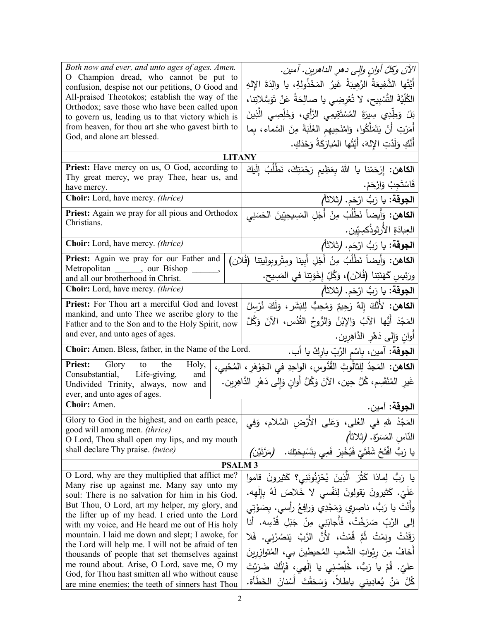| Both now and ever, and unto ages of ages. Amen.<br>O Champion dread, who cannot be put to<br>confusion, despise not our petitions, O Good and<br>All-praised Theotokos; establish the way of the<br>Orthodox; save those who have been called upon<br>to govern us, leading us to that victory which is<br>from heaven, for thou art she who gavest birth to<br>God, and alone art blessed. | الآنَ وكلَّ أوانِ وإلى دهرِ الداهرينِ. آمينِ.<br>أَيَّتُها الشَّفِيعَةُ الرَّهِيبَةُ غَيرُ المَخْذُولةِ، يا والِدَةَ الإِلهِ<br>الكُلِّيَّةَ التَّسْبِيحِ، لا تُعْرِضِي يا صالِحَةُ عَنْ تَوَسُّلاتِنا،<br>بَلْ وَطِّدِي سِيرَةَ المُسْتَقِيمِى الرَّأْيِ، وَخَلِّصِى الَّذِينَ<br>أَمَرْتِ أَنْ يَتَمَلَّكُوا، وَامْنَحِيهِم الغَلَبَةَ مِنَ السَّماء، بِما<br>أَنَّكِ وَلَدْتِ الإِلهَ، أَيَّتُها المُبارَكَةُ وَحْدَكِ. |  |  |
|---------------------------------------------------------------------------------------------------------------------------------------------------------------------------------------------------------------------------------------------------------------------------------------------------------------------------------------------------------------------------------------------|----------------------------------------------------------------------------------------------------------------------------------------------------------------------------------------------------------------------------------------------------------------------------------------------------------------------------------------------------------------------------------------------------------------------------|--|--|
| <b>LITANY</b>                                                                                                                                                                                                                                                                                                                                                                               |                                                                                                                                                                                                                                                                                                                                                                                                                            |  |  |
| Priest: Have mercy on us, O God, according to<br>Thy great mercy, we pray Thee, hear us, and<br>have mercy.                                                                                                                                                                                                                                                                                 | ا <b>لكاهن:</b> إِرْحَمْنا يا اللهُ بِعَظِيم رَحْمَتِكَ، نَطْلُبُ إِلَيكَ<br>فَاسْتَجِبْ وَارْحَمْ.                                                                                                                                                                                                                                                                                                                        |  |  |
| Choir: Lord, have mercy. (thrice)                                                                                                                                                                                                                                                                                                                                                           | ا <b>لجوقة:</b> يا رَبُّ ارْحَم. (ثلاثاً <i>)</i>                                                                                                                                                                                                                                                                                                                                                                          |  |  |
| Priest: Again we pray for all pious and Orthodox<br>Christians.                                                                                                                                                                                                                                                                                                                             | ا <b>لكاهن:</b> وَأَيضاً نَطْلُبُ مِنْ أَجْلِ المَسِيحِيّينَ الحَسَنِي<br>العِبادَةِ الأرثوذُكسِيّين.                                                                                                                                                                                                                                                                                                                      |  |  |
| Choir: Lord, have mercy. (thrice)                                                                                                                                                                                                                                                                                                                                                           | ا <b>لجوقة:</b> يا رَبُّ ارْحَم. <b>(</b> ثلاثاً <i>)</i>                                                                                                                                                                                                                                                                                                                                                                  |  |  |
| Priest: Again we pray for our Father and                                                                                                                                                                                                                                                                                                                                                    | ا <b>لكاهن:</b> وَأَيضاً نَطْلُبُ مِنْ أَجْلِ أَبينا ومتْروبوليتِنا (فُلان)                                                                                                                                                                                                                                                                                                                                                |  |  |
| Metropolitan, our Bishop<br>and all our brotherhood in Christ.                                                                                                                                                                                                                                                                                                                              | ورَئِيسِ كَهَنَتِنا ۖ (فُلان)، وَكُلِّ إِخْوَتِنا في المَسِيحِ.                                                                                                                                                                                                                                                                                                                                                            |  |  |
| Choir: Lord, have mercy. (thrice)                                                                                                                                                                                                                                                                                                                                                           | ا <b>لجوقة:</b> يا رَبُّ ارْحَم. (ثلاثاً <i>)</i>                                                                                                                                                                                                                                                                                                                                                                          |  |  |
| Priest: For Thou art a merciful God and lovest<br>mankind, and unto Thee we ascribe glory to the<br>Father and to the Son and to the Holy Spirit, now<br>and ever, and unto ages of ages.                                                                                                                                                                                                   | ا <b>لكاهن:</b> لأَنَّكَ إِلهٌ رَحِيمٌ وَمُحِبٌّ لِلبَشَرِ ، وَلَكَ نُرْسلُ<br>المَجْدَ أَيُّها الآبُ وَالإِبْنُ وَالرُّوحُ القُدُسِ، الآنَ وَكُلَّ<br>أُوان وَإِلَى دَهْرِ الدَّاهِرِينِ.                                                                                                                                                                                                                                 |  |  |
| Choir: Amen. Bless, father, in the Name of the Lord.                                                                                                                                                                                                                                                                                                                                        | ا <b>لجوقة:</b> آمين، بِاسْم الزَّبِّ بارِكْ يا أب.                                                                                                                                                                                                                                                                                                                                                                        |  |  |
| <b>Priest:</b> Glory<br>to the<br>Holy,<br>Consubstantial, Life-giving,<br>and<br>Undivided Trinity, always, now<br>and<br>ever, and unto ages of ages.                                                                                                                                                                                                                                     | ا <b>لكاهن:</b> المَجدُ لِلثالُوثِ القُدُّوسِ، الواحِدِ في الجَوْهَرِ ، المُحْيي،<br>غَيرِ المُنْقَسِم، كُلَّ حِين، الآنَ وَكُلَّ أُوانِ وَإِلى دَهْرِ الدَّاهِرِينِ.                                                                                                                                                                                                                                                      |  |  |
| Choir: Amen.                                                                                                                                                                                                                                                                                                                                                                                | ا <b>لجوقة:</b> آمين.                                                                                                                                                                                                                                                                                                                                                                                                      |  |  |
| Glory to God in the highest, and on earth peace,<br>good will among men. (thrice)<br>O Lord, Thou shall open my lips, and my mouth<br>shall declare Thy praise. (twice)                                                                                                                                                                                                                     | المَجْدُ للهِ في العُلي، وَعَلى الأَرْضِ السَّلامِ، وَفِي<br>النّاس المَسَرّة. (ثلاثآ/<br>يا رَبُّ افْتَحْ شَفَتَىَّ فَيُخْبِرَ  فَمِي بِتَسْبِحَتِك.<br>(مَرَّتَيْنَ)                                                                                                                                                                                                                                                     |  |  |
| <b>PSALM3</b>                                                                                                                                                                                                                                                                                                                                                                               |                                                                                                                                                                                                                                                                                                                                                                                                                            |  |  |
| O Lord, why are they multiplied that afflict me?<br>Many rise up against me. Many say unto my<br>soul: There is no salvation for him in his God.<br>But Thou, O Lord, art my helper, my glory, and<br>the lifter up of my head. I cried unto the Lord                                                                                                                                       | يا رَبُّ لِماذا كَثُرَ الَّذِينَ يُحْزِنُونَنِي؟ كَثيرونَ قاموا<br>عَلَىِّ. كَثيرونَ يَقولونَ لِنَفْسي لا خَلاصَ لَهُ بِإِلْهِه.<br>وأَنْتَ يا رَبُّ، ناصِرِي وَمَجْدِي وَرافِعُ رأسي. بِصَوْتِي                                                                                                                                                                                                                           |  |  |
| with my voice, and He heard me out of His holy<br>mountain. I laid me down and slept; I awoke, for<br>the Lord will help me. I will not be afraid of ten<br>thousands of people that set themselves against<br>me round about. Arise, O Lord, save me, O my<br>God, for Thou hast smitten all who without cause<br>are mine enemies; the teeth of sinners hast Thou                         | إلى الرَّبِّ صَرَخْتُ، فَأَجابَنِي مِنْ جَبَلِ قُدْسِه. أنا<br>رَقَدْتُ ونِمْتُ ثُمَّ قُمْتُ، لأَنَّ الرَّبَّ يَنصُرُني. فَلا<br>أخافُ مِن رِبْواتِ الشَّعبِ المُحيطينَ بي، المُتوازرينَ<br>عليّ. قُمْ يا رَبُّ، خَلِّصْنِي يا إِلْهِي، فَإِنَّكَ ضَرَبْتَ<br>ݣُلَّ مَنْ يُعادِيني باطْلاً، وَسَحَقْتَ أَسْنانَ الخَطَأَة.                                                                                                 |  |  |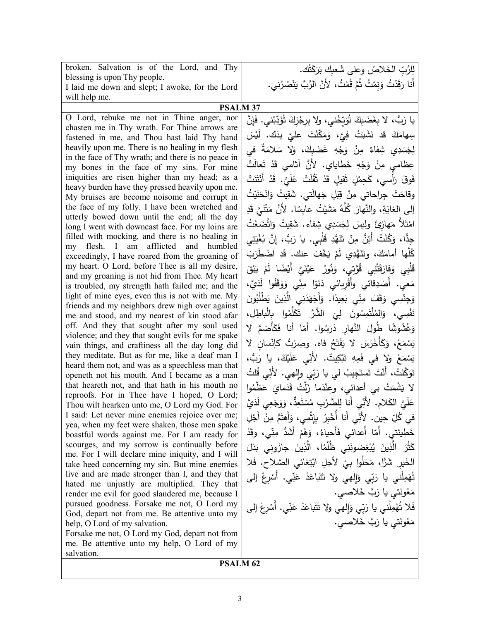| broken. Salvation is of the Lord, and Thy                                                           | لِلرَّبِّ الخَلاصُ وعلى شَعبِك بَرَكَتُك.                                    |
|-----------------------------------------------------------------------------------------------------|------------------------------------------------------------------------------|
| blessing is upon Thy people.                                                                        | أَنا رَقَدْتُ وَنِمْتُ ثُمَّ قُمْتُ، لأَنَّ الرَّبَّ يَنْصُرُني.             |
| I laid me down and slept; I awoke, for the Lord                                                     |                                                                              |
| will help me.<br><b>PSALM 37</b>                                                                    |                                                                              |
| O Lord, rebuke me not in Thine anger, nor                                                           |                                                                              |
| chasten me in Thy wrath. For Thine arrows are                                                       | يا رَبُّ، لا بِغَضَبِكَ تُوَبِّخْني، ولا بِرِجْزِكَ تُؤَدِّبْني. فَإِنَّ     |
| fastened in me, and Thou hast laid Thy hand                                                         | سِهامَكَ قد نَشَبَتْ فِيَّ، وَمَكَّنْتَ عليَّ يدَك. لَيْسَ                   |
| heavily upon me. There is no healing in my flesh                                                    | لِجَسَدِي شِفاءٌ مِنْ وَجْهِ غَضَبِكَ، وَلا سَلامَةٌ في                      |
| in the face of Thy wrath; and there is no peace in                                                  |                                                                              |
| my bones in the face of my sins. For mine                                                           | عِظامي مِنْ وَجْهِ خَطايايِ. لأَنَّ أثامي قَدْ تَعالَتْ                      |
| iniquities are risen higher than my head; as a                                                      | فَوقَ رَأْسي، كَحِمْلٍ ثَقيلٍ قَدْ ثَقُلَتْ عَلَيَّ. قَدْ أَنْتَنَتْ         |
| heavy burden have they pressed heavily upon me.<br>My bruises are become noisome and corrupt in     | وقاحَتْ جِراحاتي مِنْ قِبَلِ جَهالَتي. شَقِيتُ وَانْحَنَيْتُ                 |
| the face of my folly. I have been wretched and                                                      | إلى الغايَةِ، والنَّهارَ كُلَّهُ مَشَيْتُ عابِسًا. لأَنَّ مَتْنَيَّ قَدِ     |
| utterly bowed down until the end; all the day<br>long I went with downcast face. For my loins are   | امْتَلأَ مَهازِئَ ولِيسَ لِجَسَدِي شِفاء. شَقِيتُ وَاتَّضَعْتُ               |
| filled with mocking, and there is no healing in                                                     | جِدًّا، وَكُنْتُ أَئِنٌّ مِنْ تَنَهُّدِ قَلْبِي. يا رَبُّ، إِنَّ بُغْيَتِي   |
| my flesh. I am afflicted and humbled<br>exceedingly, I have roared from the groaning of             | كُلُّها أمامَكَ، وتَنَهُّدِي لَمْ يَخْفَ عنك. قَدِ اضْطَرَبَ                 |
| my heart. O Lord, before Thee is all my desire,<br>and my groaning is not hid from Thee. My heart   | قَلْبِي وَفَارَقَتْنِي قُوَّتِي، وَنُورُ عَيْنَيَّ أَيْضًا لَمْ يَبْقَ       |
| is troubled, my strength hath failed me; and the                                                    | مَعي. أَصْدِقائي وأَقْرِبائي دَنَوْا مِنِّي وَوَقَفُوا لَدَيَّ،              |
| light of mine eyes, even this is not with me. My<br>friends and my neighbors drew nigh over against | وَجِنْسِي وَقَفَ مِنِّي بَعِيدًا. وَأَجْهَدَنِي الَّذِينَ يَطْلُبُونَ        |
| me and stood, and my nearest of kin stood afar                                                      | نَفْسِي، وَالمُلْتَمِسُونَ لِيَ الشَّرَّ تَكَلَّمُوا بِالْباطِل،             |
| off. And they that sought after my soul used<br>violence; and they that sought evils for me spake   | وَغُشُوشًا طُولَ النَّهارِ دَرَسُوا. أمّا أنا فَكَأَصَمَّ لا                 |
| vain things, and craftiness all the day long did                                                    | يَسْمَعُ، وَكَأَخْرَسَ لا يَفْتَحُ فاه. وصِرْتُ كإنْسان لا                   |
| they meditate. But as for me, like a deaf man I<br>heard them not, and was as a speechless man that | يَسْمَعُ ولا في فَمِهِ تَبْكِيتٌ. لأَنِّي عَلَيْكَ، يا رَبُّ،                |
| openeth not his mouth. And I became as a man                                                        | تَوَكَّلتُ، أَنْتَ تَستَجِيبُ لي يا رَبّي وإلهي. لأَنِّي قُلتُ               |
| that heareth not, and that hath in his mouth no<br>reproofs. For in Thee have I hoped, O Lord;      | لا يَشْمَتْ بي أعدائي، وعِنْدَما زَلَّتْ قَدَمايَ عَظَّمُوا                  |
| Thou wilt hearken unto me, O Lord my God. For<br>I said: Let never mine enemies rejoice over me;    | عَلَيَّ الكَلام. لأَنِّي أَنا لِلضَّرْبِ مُسْتَعِدٍّ، وَوَجَعِي لَدَيَّ      |
| yea, when my feet were shaken, those men spake                                                      | في كُلِّ حِين. لأنِّي أنا أُخْبِرُ بِإِثْمِي، وَأَهتَمُّ مِنْ أَجْلِ         |
| boastful words against me. For I am ready for<br>scourges, and my sorrow is continually before      | خَطِينَتى. أَمّا أَعدائى فَأَحياءُ، وَهُمْ أَشَدُّ مِنِّي، وقَدْ             |
| me. For I will declare mine iniquity, and I will                                                    | كَثُرَ   الَّذِينَ   يُبْغِضونَنِي   ظُلْمًا،   الَّذِينَ   جازَوني   بَدَلَ |
| take heed concerning my sin. But mine enemies                                                       | الْخَيرِ شَرًّا، مَحَلُوا بِيْ لأَجلِ ابْتِغائي الصَّلاحِ. فَلا              |
| live and are made stronger than I, and they that<br>hated me unjustly are multiplied. They that     | تُهْمِلْني يا رَبِّي وَإِلْهِي ولا تَتَباعَدْ عَنِّي. أَسْرِعْ إلى           |
| render me evil for good slandered me, because I                                                     | مَعُونَتي يا رَبَّ خَلاصي.                                                   |
| pursued goodness. Forsake me not, O Lord my                                                         | فَلا تُهْمِلْني يا رَبِّي وَإِلٰهي ولا تَتَباعَدْ عَنِّي. أَسْرِعْ إلى       |
| God, depart not from me. Be attentive unto my                                                       |                                                                              |
| help, O Lord of my salvation.                                                                       | مَعُونَتي يا رَبَّ خَلاصي.                                                   |
| Forsake me not, O Lord my God, depart not from                                                      |                                                                              |
| me. Be attentive unto my help, O Lord of my<br>salvation.                                           |                                                                              |
| <b>PSALM 62</b>                                                                                     |                                                                              |

3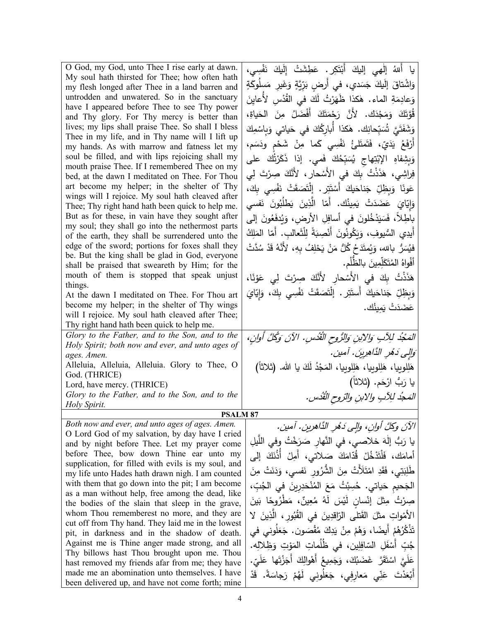| O God, my God, unto Thee I rise early at dawn.                                                       | يا أَللهُ إِلْهِي إِلَيكَ أَبْتَكِرٍ. عَطِشَتْ إِلَيكَ نَفْسِي،             |
|------------------------------------------------------------------------------------------------------|-----------------------------------------------------------------------------|
| My soul hath thirsted for Thee; how often hath                                                       | وَاشْتَاقَ إِلَيْكَ جَسَدي، في أَرضٍ بَرِّيَّةٍ وَغَيرِ مَسلُوكَةٍ          |
| my flesh longed after Thee in a land barren and                                                      |                                                                             |
| untrodden and unwatered. So in the sanctuary                                                         | وَعادِمَةِ الماء. هٰكذا ظَهَرْتُ لَكَ في القُدْسِ لأُعايِنَ                 |
| have I appeared before Thee to see Thy power<br>and Thy glory. For Thy mercy is better than          | قُوَّتَكَ وَمَجْدَك. لأَنَّ رَحْمَتَكَ أَفْضَلُ مِنَ الْحَياةِ،             |
| lives; my lips shall praise Thee. So shall I bless                                                   |                                                                             |
| Thee in my life, and in Thy name will I lift up                                                      | وَشَفَتَىَّ شُبَحانِك. هٰكذا أَبارِكُكَ في حَياتي وَبِاسْمِكَ               |
| my hands. As with marrow and fatness let my                                                          | أَرْفَعُ يَدَيّ، فَتَمتَلَّئُ نَفْسِي كَما مِنْ شَحْمٍ ودَسَمٍ،             |
| soul be filled, and with lips rejoicing shall my                                                     | وَبِشِفاهِ الإِبْتِهاج يُسَبِّحُكَ فَمي. إذا ذَكَرْتُكَ على                 |
| mouth praise Thee. If I remembered Thee on my                                                        |                                                                             |
| bed, at the dawn I meditated on Thee. For Thou                                                       | فِراشِي، هَذَذْتُ بِكَ في الأَسْحارِ ، لأَنَّكَ صِرْتَ لِي                  |
| art become my helper; in the shelter of Thy                                                          | عَونًا وَبِظِلِّ جَناحَيكَ أَسْتَتِرٍ . إِنَّصَقَتْ نَفْسِي بِكَ،           |
| wings will I rejoice. My soul hath cleaved after                                                     |                                                                             |
| Thee; Thy right hand hath been quick to help me.                                                     | وَإِيّايَ عَضَدَتْ يَمِينُك. أَمّا الَّذِينَ يَطْلُبُونَ نَفسى              |
| But as for these, in vain have they sought after                                                     | باطِلاً، فَسَيَدْخُلونَ في أسافِلِ الأرض، وَيُدفَعُونَ إلى                  |
| my soul; they shall go into the nethermost parts                                                     | أَيدِي السُّيوفِ، وَيَكُونُونَ أَنْصِبَةً لِلْثَعالبِ. أَمّا المَلِكُ       |
| of the earth, they shall be surrendered unto the                                                     |                                                                             |
| edge of the sword; portions for foxes shall they<br>be. But the king shall be glad in God, everyone  | فيُسَرُّ بالله، وَبُمتَدَحُ كُلُّ مَنْ يَحْلِفُ بِهِ، لأَنَّهُ قَدْ سُدَّتْ |
| shall be praised that sweareth by Him; for the                                                       | أَفْواهُ المُتَكَلِّمِينَ بِالظَّلْمِ.                                      |
| mouth of them is stopped that speak unjust                                                           |                                                                             |
| things.                                                                                              | هَذَذْتُ بِكَ في الأَسْحارِ لأَنَّكَ صِرْتَ لِي عَوْنًا،                    |
| At the dawn I meditated on Thee. For Thou art                                                        | وَبِظِلِّ جَناحَيكَ أَستَتِر . إِلْتَصَقَتْ نَفْسِي بِكَ، وَإِيّايَ         |
| become my helper; in the shelter of Thy wings                                                        | عَضَدَتْ يَمِينُك.                                                          |
| will I rejoice. My soul hath cleaved after Thee;                                                     |                                                                             |
| Thy right hand hath been quick to help me.                                                           |                                                                             |
| Glory to the Father, and to the Son, and to the                                                      | المَجْدُ لِلِأَبِ وَالِأَبِنِ وَالرُّوحِ الْقُدْسِ. الآنَ وَكُلَّ أُوانِ،   |
| Holy Spirit; both now and ever, and unto ages of                                                     | وَالِي دَهْرِ الذَّاهِرِينَ. آمين.                                          |
| ages. Amen.                                                                                          |                                                                             |
| Alleluia, Alleluia, Alleluia. Glory to Thee, O                                                       | هَلِلوبِيا، هَلِلوبِيا، هَلِلوبِيا، المَجْدُ لَكَ يا الله. (ثلاثاً)         |
| God. (THRICE)<br>Lord, have mercy. (THRICE)                                                          | يا رَبُّ ارْحَم. (ثلاثاً)                                                   |
| Glory to the Father, and to the Son, and to the                                                      |                                                                             |
| Holy Spirit.                                                                                         | المَجْد للِآبِ والابنِ والرّوحِ الثُّدُسِ.                                  |
| <b>PSALM 87</b>                                                                                      |                                                                             |
| Both now and ever, and unto ages of ages. Amen.                                                      | الآنَ وكلَّ أوانِ، وإلى دَهْرِ الدَّاهرينِ. آمين.                           |
| O Lord God of my salvation, by day have I cried                                                      |                                                                             |
| and by night before Thee. Let my prayer come                                                         | يا رَبُّ إلٰهَ خلاصي، في النَّهارِ صَرَخْتُ وفي اللَّيلِ                    |
| before Thee, bow down Thine ear unto my                                                              | أمامَك، فَلْتَذْخُلْ قُدّامَكَ صَلاتى، أَمِلْ أَذُنَكَ إلى                  |
| supplication, for filled with evils is my soul, and                                                  | طَٰلِبَتِي، فَقَدِ امْتَلَأَتْ مِنَ الشُّرُورِ نَفسى، وَدَنَتْ مِنَ         |
| my life unto Hades hath drawn nigh. I am counted                                                     |                                                                             |
| with them that go down into the pit; I am become                                                     | الْجَحيم حَياتي. حُسِبْتُ مَعَ الْمُنْحَدِرِينَ في الْجُبِّ،                |
| as a man without help, free among the dead, like<br>the bodies of the slain that sleep in the grave, | صِرْتُ مِثْلَ إِنْسانٍ لَيْسَ لَهُ مُعِينٌ، مَطْرُوحًا بَينَ                |
| whom Thou rememberest no more, and they are                                                          |                                                                             |
| cut off from Thy hand. They laid me in the lowest                                                    | الأَمْواتِ مثلَ القَتلى الرّاقدِينَ في القُبُورِ ، الَّذِينَ لا             |
| pit, in darkness and in the shadow of death.                                                         | تَذْكُرُهُمْ أَيضًا، وَهُمْ مِنْ يَذِكَ مُقْصَون. جَعَلُوني في              |
| Against me is Thine anger made strong, and all                                                       | جُبِّ أَسْفَلِ السّافِلِينِ، في ظُلُماتِ المَوْتِ وَظِلالِه.                |
| Thy billows hast Thou brought upon me. Thou                                                          |                                                                             |
| hast removed my friends afar from me; they have                                                      | عَلَيَّ اسْتَقَرَّ غَضَبُكَ، وَجَمِيعُ أَهْوالِكَ أَجَزْتَها عَلَيِّ.       |
| made me an abomination unto themselves. I have                                                       | أَبْعَدْتَ عَنِّي مَعارِفِي، جَعَلُونِي لَهُمْ رَجاسَةً. قَدْ               |
| been delivered up, and have not come forth; mine                                                     |                                                                             |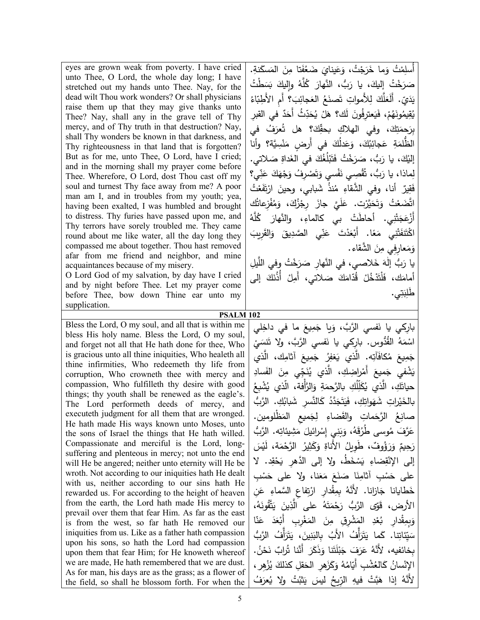eyes are grown weak from poverty. I have cried unto Thee, O Lord, the whole day long; I have stretched out my hands unto Thee. Nay, for the dead wilt Thou work wonders? Or shall physicians raise them up that they may give thanks unto Thee? Nay, shall any in the grave tell of Thy mercy, and of Thy truth in that destruction? Nay, shall Thy wonders be known in that darkness, and Thy righteousness in that land that is forgotten? But as for me, unto Thee, O Lord, have I cried; and in the morning shall my prayer come before Thee. Wherefore, O Lord, dost Thou cast off my soul and turnest Thy face away from me? A poor man am I, and in troubles from my youth; yea, having been exalted, I was humbled and brought to distress. Thy furies have passed upon me, and Thy terrors have sorely troubled me. They came round about me like water, all the day long they compassed me about together. Thou hast removed afar from me friend and neighbor, and mine acquaintances because of my misery.

O Lord God of my salvation, by day have I cried and by night before Thee. Let my prayer come before Thee, bow down Thine ear unto my supplication.

Bless the Lord, O my soul, and all that is within me bless His holy name. Bless the Lord, O my soul, and forget not all that He hath done for thee, Who is gracious unto all thine iniquities, Who healeth all thine infirmities, Who redeemeth thy life from corruption, Who crowneth thee with mercy and compassion, Who fulfilleth thy desire with good things; thy youth shall be renewed as the eagle's. The Lord performeth deeds of mercy, and executeth judgment for all them that are wronged. He hath made His ways known unto Moses, unto the sons of Israel the things that He hath willed. Compassionate and merciful is the Lord, longsuffering and plenteous in mercy; not unto the end will He be angered; neither unto eternity will He be wroth. Not according to our iniquities hath He dealt with us, neither according to our sins hath He rewarded us. For according to the height of heaven from the earth, the Lord hath made His mercy to prevail over them that fear Him. As far as the east is from the west, so far hath He removed our iniquities from us. Like as a father hath compassion upon his sons, so hath the Lord had compassion upon them that fear Him; for He knoweth whereof we are made, He hath remembered that we are dust. As for man, his days are as the grass; as a flower of the field, so shall he blossom forth. For when the

أُسلِمْتُ وَما خَرَجْتُ، وَعَينايَ ضَعُفَتا مِنَ المَسكَنةِ.<br>. صَرَخْتُ إِليكَ، يا رَبُّ، النَّهارَ كُلَّهُ وإِليكَ بَسَطْتُ<br>- يَسَعَّلُ عَلَيْهِ مَسَلَّمَةٍ ُ ّاء َ ؟ أَ ِم ِ الأَط� ِب َجائ ُ الع َع َصن ِلأَ ِ موات ت َ ل َّك ل َ َع يَدَيِّ . أَل َ مُمْ، فَيَعترِفُونَ لَك؟ هَلْ يُحَدِّثُ أَحَدٌ في القبرِ َه ُون ِ<br>مِّيمُ ق ٔ. و<br>= <sub>ُ</sub>عرَفُ في تَ، وفي الهلاكِ بحقِّكَ؟ هل تُ بِرَحمَتِكَ<br>م َ الظُّلمَةِ عَجائِبُكَ، وَعَدْلُكَ في أَرضٍ مَنْسِيَّة؟ وأنا <u>ا</u><br>ا َنِبٌ، صَرَخْتُ فَتَبْلُغُكَ في الغَداةِ صَلاتي.<br>. **ٔ** نَه يا رَد $\,$ <u>ا</u>ػ<br>ؙ إلي َنَّبُّ، تُقْصِي نَفْسي وَتَصْرِفُ وَجْهَكَ عَنِّي؟<br>. لِ<mark>ماذا، يا رَ</mark>د ءِ مُنذُ شَبابي، وحينَ ارْتَفَعْتُ .<br>ا انا، وفي ِیر َق ف َّنْتُ وَتَحَيَّرْت. عَلَيَّ جازَ رِجْزُكَ، وَمُفْزِعاتُك<br>مُ ة<br>أ َضع ات ْ ت َ ڒ۬عَجَا<br>. أَزْعَجَتْنِي. أَحاطْتْ بي كالماءِ، والنَّهارَ كَلهُ َّه ُل رَ<br>ِ َّهار كالماء، **∶** ن **:** مَ*ۧ*رِيبَ َالق اكْتَفَتْنِي مَعًا. أَبْعَدْتَ عَنِّي الصَّدِيقَ وَا وَمَعارِفِي مِنَ الشَّقاء.<br>ـ يا رَبُّ إِلٰهَ خَلاصي، في النَّهارِ صَرَخْتُ وفي اللَّيلِ<br>ّ أمامَك، فَلْتَدْخُلْ قُدّامَكَ صَلاتي، أَمِلْ أَذُنَكَ إلى<br>مَعْ .<br>ا طَٰلِبَتِي .

**PSALM 102**

نَفسي الرَّبَّ، وَيا جَمِيعَ ما في داخِلي<br>. باركے ، .<br>. اسْمَهُ القُدُّوسِ. بارِكِي يا نَفسي الزَّبَّ، ولا نَتَسَيْ<br>حَ مَّ مُكافَآتِه. الَّذي يَغفِرُ جَمِيعَ آثامِك، الَّذي ِيعَ يَمِ<br>` ج ِ َساد َ الف ِن ِي م ّ َج ن ُ َّذي ی ْ ِراض ِك، ال َ أَم َم�ع َ ْشفي ج � حياتَكِ، الَّذي يُكَلِّلُكِ بالرَّحمَةِ وَالرَّأْفة، الَّذ*ي* يُشْبِعُ <u>ا</u> مَواتِكِ، فَيَتَجَدَّدُ كَالنَّسرِ شَبابُكِ. الرَّبُّ با<mark>لخَيْراتِ شَهَ</mark> المَظلومین. حُ الرَّحَماتِ والقَضاءِ لِجَميعِ المَه<br>مُرَسِدُ ِ<br>نِع صان مَّرَّفَ مُوسى طُرُقَهُ، وَبَنِيٍ إِسْرائيلَ مَشِيئاتِه. الرَّبُّ<br>. ع َ ِ و ُ الأَناة ُ ٌوف َ ، طِو�ل َ ؤ َر ٌ و ِح�م ْ َس ر �َ َة، ل ْم ُ َّ الرح ِیر َث � .<br>ا إلى الإنْقِضاءِ يَسْخَطُ، ولا إلى الدَّهرِ يَحْقِد. لا على حَسْبِ أثامِنَا صَنَعَ مَعَنا، ولا على حَسْبِ<br>تَسَمَّدُ اللَّهُ مَنْ خَطايانا جَازانا. لأَنَّهُ بِمِقْدارِ ارْتِفاعِ السَّماءِ عَنِ .<br>ا الأرض، قَوّى الرَّبُّ رَحْمَتَهُ على الَّذِينَ يَتَّقُونَهُ،<br>-ّا ن َ َ ع دِ المَشْرِقِ مِنَ المَغْرِبِ أَبْعَدَ<br>يَقْمَدُ ڦدارِ بُ**عْ**دِ ِق ِم � َ و سَيِّئاتِنا كَما يَتَزَأَّفُ الأَبُ بِالبَنِينَ، يَتَزَأَّفُ الرَّبُّ ً<br>ا بِخائفيه، لأَنَّهُ عَرَفٍ جَبْلَتَنا وَذَكَرَ أَنَّنا تُرابٌ نَحْنُ.<br>\* **ٔ** الإِنْسانُ كَالعُشْبِ أَيَامُهُ وَكَزَهرِ الْحَقلِ كذلكَ يُزْهِر ،<br>أَيَمَنَ مَسَمًّا يَسْتَمِمُونَ الْمَسَمَّةِ لأَنَّهُ إذا هَبَّتْ فيهِ الرِّيحُ ليسَ يَثْبُتُ ولا يُعرَفُ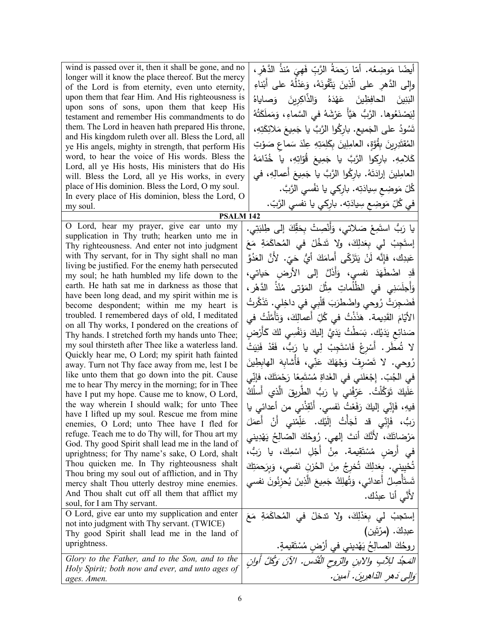| wind is passed over it, then it shall be gone, and no<br>longer will it know the place thereof. But the mercy<br>of the Lord is from eternity, even unto eternity,<br>upon them that fear Him. And His righteousness is<br>upon sons of sons, upon them that keep His<br>testament and remember His commandments to do<br>them. The Lord in heaven hath prepared His throne,<br>and His kingdom ruleth over all. Bless the Lord, all<br>ye His angels, mighty in strength, that perform His<br>word, to hear the voice of His words. Bless the<br>Lord, all ye His hosts, His ministers that do His<br>will. Bless the Lord, all ye His works, in every<br>place of His dominion. Bless the Lord, O my soul.<br>In every place of His dominion, bless the Lord, O<br>my soul.                                                                                                                                                                                                                                                                                                                                                                                                                                                                                                                                                                                                                                                                                                                                                                                                                                                              | أيضًا مَوضِعُه. أمّا رَحمَةُ الرَّبِّ فَهِيَ مُنذُ الدَّهْرِ،<br>وإِلى الدَّهرِ على الَّذِينَ يَتَّقُونَهُ، وَعَذْلُهُ على أَبْناءِ<br>البَنِينَ الحافِظِينَ عَهْدَهُ وَالذَّاكِرِينَ وَصاياهُ<br>لِيَصْنَعُوها. الرَّبُّ هَيَّأٌ عَرْشَهُ فـى السَّماءِ، وَمَملَكَتُهُ<br>تَسُودُ على الجَميع. باركُوا الرَّبَّ يا جَمِيعَ مَلائِكَتِهِ،<br>المُقتَدِرِينَ بِقُوَّةٍ، العامِلِينَ بِكَلِمَتِهِ عِنْدَ سَماعٍ صَوْتِ<br>كَلامِهِ. باركوا الرَّبَّ يا جَمِيعَ قُوّاتِهِ، يا خُدّامَهُ<br>العامِلينَ إرادَتَهُ. باركُوا الرَّبَّ يا جَمِيعَ أعمالِهِ، في<br>كُلّ مَوضِعٍ سِيادَتِه. باركي يا نَفْسي الرَّبَّ.<br>في كُلِّ مَوضِعٍ سِيادَتِه. بارِكي يا نفسي الرَّبّ.                                                                                                                                                                                                                                                                                                                                                                                                                                                                                                                                                                                                                                        |
|--------------------------------------------------------------------------------------------------------------------------------------------------------------------------------------------------------------------------------------------------------------------------------------------------------------------------------------------------------------------------------------------------------------------------------------------------------------------------------------------------------------------------------------------------------------------------------------------------------------------------------------------------------------------------------------------------------------------------------------------------------------------------------------------------------------------------------------------------------------------------------------------------------------------------------------------------------------------------------------------------------------------------------------------------------------------------------------------------------------------------------------------------------------------------------------------------------------------------------------------------------------------------------------------------------------------------------------------------------------------------------------------------------------------------------------------------------------------------------------------------------------------------------------------------------------------------------------------------------------------------------------------|-----------------------------------------------------------------------------------------------------------------------------------------------------------------------------------------------------------------------------------------------------------------------------------------------------------------------------------------------------------------------------------------------------------------------------------------------------------------------------------------------------------------------------------------------------------------------------------------------------------------------------------------------------------------------------------------------------------------------------------------------------------------------------------------------------------------------------------------------------------------------------------------------------------------------------------------------------------------------------------------------------------------------------------------------------------------------------------------------------------------------------------------------------------------------------------------------------------------------------------------------------------------------------------------------------------|
| <b>PSALM 142</b>                                                                                                                                                                                                                                                                                                                                                                                                                                                                                                                                                                                                                                                                                                                                                                                                                                                                                                                                                                                                                                                                                                                                                                                                                                                                                                                                                                                                                                                                                                                                                                                                                           |                                                                                                                                                                                                                                                                                                                                                                                                                                                                                                                                                                                                                                                                                                                                                                                                                                                                                                                                                                                                                                                                                                                                                                                                                                                                                                           |
| O Lord, hear my prayer, give ear unto my<br>supplication in Thy truth; hearken unto me in<br>Thy righteousness. And enter not into judgment<br>with Thy servant, for in Thy sight shall no man<br>living be justified. For the enemy hath persecuted<br>my soul; he hath humbled my life down to the<br>earth. He hath sat me in darkness as those that<br>have been long dead, and my spirit within me is<br>become despondent; within me my heart is<br>troubled. I remembered days of old, I meditated<br>on all Thy works, I pondered on the creations of<br>Thy hands. I stretched forth my hands unto Thee;<br>my soul thirsteth after Thee like a waterless land.<br>Quickly hear me, O Lord; my spirit hath fainted<br>away. Turn not Thy face away from me, lest I be<br>like unto them that go down into the pit. Cause<br>me to hear Thy mercy in the morning; for in Thee<br>have I put my hope. Cause me to know, O Lord,<br>the way wherein I should walk; for unto Thee<br>have I lifted up my soul. Rescue me from mine<br>enemies, O Lord; unto Thee have I fled for<br>refuge. Teach me to do Thy will, for Thou art my<br>God. Thy good Spirit shall lead me in the land of<br>uprightness; for Thy name's sake, O Lord, shalt<br>Thou quicken me. In Thy righteousness shalt<br>Thou bring my soul out of affliction, and in Thy<br>mercy shalt Thou utterly destroy mine enemies.<br>And Thou shalt cut off all them that afflict my<br>soul, for I am Thy servant.<br>O Lord, give ear unto my supplication and enter<br>not into judgment with Thy servant. (TWICE)<br>Thy good Spirit shall lead me in the land of | يا رَبُّ استَمِعْ صَلاتي، وَأَنْصِتْ بِحَقِّكَ إلى طِلْبَتِي.<br>إِستَجِبْ لي بِعَدلِكَ، ولا تَدخُلْ في المُحاكَمَةِ مَعَ<br>عَبدِك، فإِنَّه لَنْ يَتَزَكَّى أَمامَكَ أَيُّ حَيّ. لأَنَّ العَدُوَّ<br>قَدِ اضْطُهَدَ نفسي، وَأَذَلَّ إلى الأرض حَياتي،<br>وَأَجِلَسَنِي في الظُّلَماتِ مِثْلَ المَوْتِي مُنْذُ الدَّهْرِ ،<br>فَضَجِرَتْ رُوحي واضْطْرَبَ قَلْبِي في داخِلي. تَذَكَّرتُ<br>الأَيّامَ القَدِيمة. هَذَذْتُ في كُلِّ أعمالِكَ، وَتَأَمَّلْتُ في<br>صَنائِعِ يَدَيْك. بَسَطْتُ يَدَيَّ إِليكَ وَنَفْسِي لَكَ كَأَرْضِ<br>لا شُطَرٍ . أَسْرِعْ فَاسْتَجِبْ لِي يا رَبُّ، فَقَدْ فَنِيَتْ<br>رُوحي. لا تَصْرِفْ وَجْهَكَ عَنِّي، فَأَشابِهَ الهابطِينَ<br>في الجُبِّ. إِجْعَلني في الغَداةِ مُسْتَمِعًا رَحْمَتَكَ، فإنِّي<br>عَلَيكَ تَوَكَّلْتُ. عَرّفْني يا رَبُّ الطّريقَ الّذي أَسلُكُ<br>فيهِ، فَإِنِّي إليكَ رَفَعْتُ نَفسي. أَنْقِذْني من أعدائي يا<br>رَبُّ، فَإِنِّي قد لَجَأْتُ إِلَيْك. عَلِّمْني أَنْ أَعمَلَ<br>مَرْضاتَكَ، لأَنَّكَ أَنتَ إلهي. رُوحُكَ الصّالِحُ يَهْدِيني<br>في أُرضٍ مُسْتَقِيمة. مِنْ أَجْلِ اسْمِكَ، يا رَبُّ،<br>تُحْيِيني. بِعَدلِكَ تُخرِجُ مِنَ الْحُزنِ نَفْسي، وَبِرَحمَتِكَ<br>تَستَأْصِلُ أَعدائي، وَتُهلِكُ جَمِيعَ الَّذِينَ يُحزِنُونَ نفسي<br>ِ لأَنَّى أنا عبدُك.<br>إستجبْ لي بِعَدْلِكَ، ولا تدخلْ في المُحاكَمَةِ مَعَ<br>عبدِكَ. (مرّتَين) |
| uprightness.<br>Glory to the Father, and to the Son, and to the                                                                                                                                                                                                                                                                                                                                                                                                                                                                                                                                                                                                                                                                                                                                                                                                                                                                                                                                                                                                                                                                                                                                                                                                                                                                                                                                                                                                                                                                                                                                                                            | روحُكَ الصالِحُ يَهْديني في أَرْضٍ مُسْتَقيمةٍ.<br>المَجْدُ للِآبِ والابنِ والتروحِ القُدُسِ. الآنَ وَكُلَّ أُوانٍ                                                                                                                                                                                                                                                                                                                                                                                                                                                                                                                                                                                                                                                                                                                                                                                                                                                                                                                                                                                                                                                                                                                                                                                        |
| Holy Spirit; both now and ever, and unto ages of<br>ages. Amen.                                                                                                                                                                                                                                                                                                                                                                                                                                                                                                                                                                                                                                                                                                                                                                                                                                                                                                                                                                                                                                                                                                                                                                                                                                                                                                                                                                                                                                                                                                                                                                            | وَالِي دَهر الدّاهِرِينَ. آمين.                                                                                                                                                                                                                                                                                                                                                                                                                                                                                                                                                                                                                                                                                                                                                                                                                                                                                                                                                                                                                                                                                                                                                                                                                                                                           |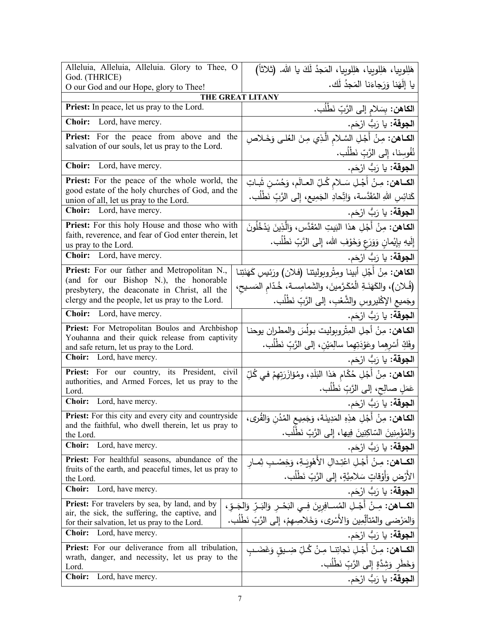| Alleluia, Alleluia, Alleluia. Glory to Thee, O<br>God. (THRICE)                                             | هَلِلوبِيا، هَلِلوبِيا، هَلِلوبِيا، المَجدُ لَكَ يا الله. (ثلاثاً)                   |  |  |
|-------------------------------------------------------------------------------------------------------------|--------------------------------------------------------------------------------------|--|--|
| O our God and our Hope, glory to Thee!                                                                      | يا إِلْهَنا وَرَجاءَنا المَجدُ لَك.                                                  |  |  |
| THE GREAT LITANY                                                                                            |                                                                                      |  |  |
| Priest: In peace, let us pray to the Lord.                                                                  | ا <b>لكاهن:</b> بِسَلام إلى الرَّبِّ نَطْلُب <b>ِ</b> .                              |  |  |
| Choir: Lord, have mercy.                                                                                    | ا <b>لجوقة:</b> يا رَبُّ ارْحَم.                                                     |  |  |
| <b>Priest:</b> For the peace from above and the                                                             | الكـاهن: مِنْ أَجْلِ السَّلام الَّذِي مِنَ العُلَى وَخَـلاصِ                         |  |  |
| salvation of our souls, let us pray to the Lord.                                                            | نُفُوسنا، إِلى الرَّبِّ نَطْلُب.                                                     |  |  |
| Choir:<br>Lord, have mercy.                                                                                 | ا <b>لجوقة:</b> يا رَبُّ ارْحَم.                                                     |  |  |
| <b>Priest:</b> For the peace of the whole world, the                                                        | ا <b>لكــاهن:</b> مِـنْ أَجْـلِ سَــلام كُـلِّ العـالَم، وَحُسْـنِ شَـِـاتِ          |  |  |
| good estate of the holy churches of God, and the                                                            | كَنائِسِ اللهِ المُقَدَّسة، وَاتِّحادِ الجَمِيعِ، إِلى الرَّبِّ نَطْلُب.             |  |  |
| union of all, let us pray to the Lord.<br>Choir: Lord, have mercy.                                          |                                                                                      |  |  |
| Priest: For this holy House and those who with                                                              | ا <b>لجوقة:</b> يا رَبُّ ارْحَم.                                                     |  |  |
| faith, reverence, and fear of God enter therein, let                                                        | ا <b>لكـاهن:</b> مِنْ أَجْلِ هذا البَيتِ المُقَدَّسِ، وَالَّذِينَ يَدْخُلُونَ        |  |  |
| us pray to the Lord.                                                                                        | إِلَيهِ بِإِيْمانِ وَوَرَعٍ وَخَوْفِ الله، إِلى الرَّبِّ نَطْلُب.                    |  |  |
| <b>Choir:</b> Lord, have mercy.                                                                             | ا <b>لجوقة:</b> يا رَبُّ ارْحَم.                                                     |  |  |
| Priest: For our father and Metropolitan N.,                                                                 | الكاهن: مِنْ أَجْلِ أبينا ومثْروبِوليتنا (فلان) ورَئِيس كَهَنَتِنا                   |  |  |
| (and for our Bishop N.), the honorable<br>presbytery, the deaconate in Christ, all the                      | (فُـلان)، والكَهَنَـةِ الْمُكَرَّمينَ، والشَمامِسـة، خُـدّام المَسـيح،               |  |  |
| clergy and the people, let us pray to the Lord.                                                             | وجَميعِ الإكْليروسِ والشَّعْبِ، إلى الرَّبِّ نَطْلُبٍ.                               |  |  |
| Choir: Lord, have mercy.                                                                                    | ا <b>لجوقة:</b> يا رَبُّ ارْحَم.                                                     |  |  |
| Priest: For Metropolitan Boulos and Archbishop                                                              | ا <b>لكـاهن:</b> مِنْ أجلِ المِتْروبِوليت بولُسَ والمطران يوحنـا                     |  |  |
| Youhanna and their quick release from captivity<br>and safe return, let us pray to the Lord.                | وفَكِّ أَسْرِهِما وعَوْدَتِهِما سالِمَيْنِ، إلى الرَّبِّ نَطْلَب.                    |  |  |
| Choir: Lord, have mercy.                                                                                    | ا <b>لجوقة:</b> يا رَبُّ ارْحَم.                                                     |  |  |
| Priest: For our country, its President, civil                                                               | ا <b>لكـاهن:</b> مِنْ أَجْلِ حُكّام هَذا البَلَدِ، ومُؤازَرَتِهِمْ في كُلِّ          |  |  |
| authorities, and Armed Forces, let us pray to the<br>Lord.                                                  | عَمَلٍ صالِحٍ، إلى الرَّبِّ نَطْلُبٍ.                                                |  |  |
| Lord, have mercy.<br><b>Choir:</b>                                                                          | ا <b>لجوقة:</b> يا رَبُّ ارْحَم.                                                     |  |  |
| Priest: For this city and every city and countryside<br>and the faithful, who dwell therein, let us pray to | الكاهن: مِنْ أَجْلِ هذِهِ المَدِينَة، وَجَمِيعِ المُدُنِ وَالقُرى،                   |  |  |
| the Lord.                                                                                                   | وَالْمُؤْمِنِينَ السّاكِنِينَ فِيها، إِلى الرَّبِّ نَطْلُب.                          |  |  |
| <b>Choir:</b><br>Lord, have mercy.                                                                          | ا <b>لجوقة:</b> يا رَبُّ ارْحَم.                                                     |  |  |
| Priest: For healthful seasons, abundance of the<br>fruits of the earth, and peaceful times, let us pray to  | ا <b>لكــاهن:</b> مِـنْ أَجْـلِ اعْتِـدالِ الأَهْوِسَةِ، وَخِصْـب ثِ <i>م</i> ـار    |  |  |
| the Lord.                                                                                                   | الأَرْضِ وَأَوْقَاتٍ سَلامِيَّةٍ، إِلَى الرَّبِّ نَطْلُب.                            |  |  |
| <b>Choir:</b><br>Lord, have mercy.                                                                          | ا <b>لجوقة:</b> يا رَبُّ ارْحَم.                                                     |  |  |
| Priest: For travelers by sea, by land, and by<br>air, the sick, the suffering, the captive, and             | الكـــاهن: مِــنْ أَجْـلِ المُســافِرِينَ فِــي البَحْــرِ وَالبَــرِّ وَالجَــوِّ ، |  |  |
| for their salvation, let us pray to the Lord.                                                               | وَالمَرْضـى والمُتألِّمِين وَالأَسْرِي، وَخَلاصِـهمْ، إلى الرَّبِّ نَطْلُب.          |  |  |
| <b>Choir:</b><br>Lord, have mercy.                                                                          | ا <b>لجوقة:</b> يا رَبُّ ارْحَم.                                                     |  |  |
| Priest: For our deliverance from all tribulation,                                                           | <b>الكــاهن:</b> مِـنْ أَجْـلِ نَجاتِنـا مِـنْ كُـلِّ ضِـيق وَغَضَـبِ                |  |  |
| wrath, danger, and necessity, let us pray to the<br>Lord.                                                   | وَخَطَرٍ وَشِدَّةٍ إِلَى الرَّبِّ نَطْلُب.                                           |  |  |
| Lord, have mercy.<br><b>Choir:</b>                                                                          | ا <b>لجوقة:</b> يا رَبُّ ارْحَم.                                                     |  |  |
|                                                                                                             |                                                                                      |  |  |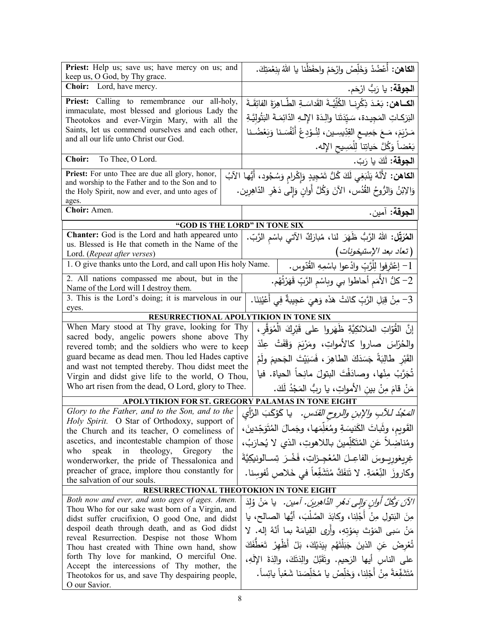| Priest: Help us; save us; have mercy on us; and<br>keep us, O God, by Thy grace.                                                                                                                                                                                                                                                                                                                                                                                          | <b>الكاهن:</b> أَعْضُدْ وَخَلِّصْ وارْحَمْ واحفَظْنا يا اللهُ بِنِعْمَتِكَ.                                                                                                                                                                                                                                                                                                                                                                   |  |
|---------------------------------------------------------------------------------------------------------------------------------------------------------------------------------------------------------------------------------------------------------------------------------------------------------------------------------------------------------------------------------------------------------------------------------------------------------------------------|-----------------------------------------------------------------------------------------------------------------------------------------------------------------------------------------------------------------------------------------------------------------------------------------------------------------------------------------------------------------------------------------------------------------------------------------------|--|
| Choir: Lord, have mercy.                                                                                                                                                                                                                                                                                                                                                                                                                                                  | ا <b>لجوقة:</b> يا رَبُّ ارْحَم.                                                                                                                                                                                                                                                                                                                                                                                                              |  |
| Priest: Calling to remembrance our all-holy,                                                                                                                                                                                                                                                                                                                                                                                                                              | الكــاهن: بَعْـدَ ذِكْرِنــا الكُلِّيَّـةَ القَداسَـةِ الطِّـاهِرَةَ الفائِقَــةَ                                                                                                                                                                                                                                                                                                                                                             |  |
| immaculate, most blessed and glorious Lady the<br>Theotokos and ever-Virgin Mary, with all the                                                                                                                                                                                                                                                                                                                                                                            | البَرَكاتِ المَجِيدة، سَيِّدَتَنا والِدَةَ الإِلـهِ الدّائِمَـةَ البَتُولِيَّـةِ                                                                                                                                                                                                                                                                                                                                                              |  |
| Saints, let us commend ourselves and each other,                                                                                                                                                                                                                                                                                                                                                                                                                          | مَـرْيَمَ، مَـعَ جَمِيــع القِدِّيسِـين، لِذُـوْدِعْ أَنْفُسَـنا وَبَعْضُـنا                                                                                                                                                                                                                                                                                                                                                                  |  |
| and all our life unto Christ our God.                                                                                                                                                                                                                                                                                                                                                                                                                                     | بَعْضاً وَكُلَّ حَياتِنا لِلْمَسِيحِ الإِله.                                                                                                                                                                                                                                                                                                                                                                                                  |  |
| To Thee, O Lord.<br><b>Choir:</b>                                                                                                                                                                                                                                                                                                                                                                                                                                         | ا <b>لجوقة:</b> لَكَ يا رَبّ.                                                                                                                                                                                                                                                                                                                                                                                                                 |  |
| Priest: For unto Thee are due all glory, honor,                                                                                                                                                                                                                                                                                                                                                                                                                           | ا <b>لكاهن:</b> لأَنَّهُ يَنْبَغِي لَكَ كُلُّ تَمْجِيدٍ وَإِكْرامٍ وَسُجُودٍ، أَيُّها الآبُ                                                                                                                                                                                                                                                                                                                                                   |  |
| and worship to the Father and to the Son and to<br>the Holy Spirit, now and ever, and unto ages of<br>ages.                                                                                                                                                                                                                                                                                                                                                               | وَالِإِبْنُ وَالرُّوحُ القُدُسِ، الآنَ وَكُلَّ أُوانِ وَإِلى دَهْرِ الدّاهِرِينِ.                                                                                                                                                                                                                                                                                                                                                             |  |
| Choir: Amen.                                                                                                                                                                                                                                                                                                                                                                                                                                                              | ا <b>لجوقة:</b> آمين.                                                                                                                                                                                                                                                                                                                                                                                                                         |  |
| "GOD IS THE LORD" IN TONE SIX                                                                                                                                                                                                                                                                                                                                                                                                                                             |                                                                                                                                                                                                                                                                                                                                                                                                                                               |  |
| Chanter: God is the Lord and hath appeared unto                                                                                                                                                                                                                                                                                                                                                                                                                           | المُعَزِّقِل: اللهُ الرَّبُّ ظَهَرَ لنا، مُبارَكٌ الآتي باسْم الرَّبّ.                                                                                                                                                                                                                                                                                                                                                                        |  |
| us. Blessed is He that cometh in the Name of the<br>Lord. (Repeat after verses)                                                                                                                                                                                                                                                                                                                                                                                           | (تعاد بعد الإستيخونات)                                                                                                                                                                                                                                                                                                                                                                                                                        |  |
| 1. O give thanks unto the Lord, and call upon His holy Name.                                                                                                                                                                                                                                                                                                                                                                                                              | 1– إعْتَرِفوا لِلْرَّبِّ وادْعوا باسْمِهِ القُدّوس.                                                                                                                                                                                                                                                                                                                                                                                           |  |
| 2. All nations compassed me about, but in the<br>Name of the Lord will I destroy them.                                                                                                                                                                                                                                                                                                                                                                                    | 2– كلُّ الأَمَم أحاطوا بي وباسْمِ الرَّبِّ قَهَرْتُهُم.                                                                                                                                                                                                                                                                                                                                                                                       |  |
| 3. This is the Lord's doing; it is marvelous in our<br>eyes.                                                                                                                                                                                                                                                                                                                                                                                                              | 3- مِنْ قِبَلِ الرَّبِّ كَانَتْ هَذَه وَهيَ عَجِيبةٌ فِي أَعْيُنِنَا.                                                                                                                                                                                                                                                                                                                                                                         |  |
| RESURRECTIONAL APOLYTIKION IN TONE SIX                                                                                                                                                                                                                                                                                                                                                                                                                                    |                                                                                                                                                                                                                                                                                                                                                                                                                                               |  |
| When Mary stood at Thy grave, looking for Thy<br>sacred body, angelic powers shone above Thy<br>revered tomb; and the soldiers who were to keep<br>guard became as dead men. Thou led Hades captive<br>and wast not tempted thereby. Thou didst meet the<br>Virgin and didst give life to the world, O Thou,<br>Who art risen from the dead, O Lord, glory to Thee.                                                                                                       | إِنَّ الْقُوَّاتِ الْمَلائكِيَّةِ ظَهَروا على قَبْرِكَ الْمُوَقَّرِ ،<br>والْحُرَّاسَ صاروا كالأُمواتِ، ومَرْيَمَ وَقَفَتْ عِنْدَ<br>القَبْرِ طَالِبَةً جَسَدَكَ الطاهِرَ ، فَسَبَيْتَ الْجَحيمَ ولَمْ<br>تُجَرَّبْ مِنْها، وصادَفْتَ البتولَ مانِحاً الحياة. فيا<br>مَنْ قامَ مِنْ بينِ الأمواتِ، يا رِبُ المَجْدُ لَكَ.                                                                                                                     |  |
| APOLYTIKION FOR ST. GREGORY PALAMAS IN TONE EIGHT                                                                                                                                                                                                                                                                                                                                                                                                                         |                                                                                                                                                                                                                                                                                                                                                                                                                                               |  |
| Glory to the Father, and to the Son, and to the<br>Holy Spirit. O Star of Orthodoxy, support of<br>the Church and its teacher, O comeliness of<br>ascetics, and incontestable champion of those                                                                                                                                                                                                                                                                           | <i>المَجْدُ للآبِ والإبنِ والروح القدّسِ.</i> يا كَوْكَبَ الرَّأي<br>القَويم، وثَباتَ الكَنيسَةِ ومُعَلِّمَها، وجَمـالَ المُتَوَحِّدينَ،<br>ومُناضِلاً عَنِ الْمُتَكَلِّمِينَ بِاللاهوتِ، الذي لا يُحارَبُ،                                                                                                                                                                                                                                   |  |
| who<br>speak<br>in<br>theology, Gregory<br>the<br>wonderworker, the pride of Thessalonica and<br>preacher of grace, implore thou constantly for<br>the salvation of our souls.                                                                                                                                                                                                                                                                                            | غِريغوريــوسَ الفاعِــلَ المُعْجــزاتِ، فَخْــرَ تِســالونيكِيَّةَ<br>وكَارُوزَ النَّعْمَةِ. لا تَنفَكَّ مُتَشَفِّعاً في خَلاص نُفوسنا.                                                                                                                                                                                                                                                                                                       |  |
| RESURRECTIONAL THEOTOKION IN TONE EIGHT                                                                                                                                                                                                                                                                                                                                                                                                                                   |                                                                                                                                                                                                                                                                                                                                                                                                                                               |  |
| Both now and ever, and unto ages of ages. Amen.<br>Thou Who for our sake wast born of a Virgin, and<br>didst suffer crucifixion, O good One, and didst<br>despoil death through death, and as God didst<br>reveal Resurrection. Despise not those Whom<br>Thou hast created with Thine own hand, show<br>forth Thy love for mankind, O merciful One.<br>Accept the intercessions of Thy mother, the<br>Theotokos for us, and save Thy despairing people,<br>O our Savior. | الآنَ وَكُلَّ أُوانِ وَالِي دَهْرِ الذَّاهِرِينَ. آمين.  يا مَنْ وُلِدَ<br>مِنَ البَتولِ مِنْ أَجْلِنا، وكابَدَ الصَّلْبَ، أَيُّها الصالح، يا<br>مَنْ سَبِي المَوْتَ بِمَوْتِهِ، وأَرِي القِيامَةَ بما أنّهُ إله. لا<br>تُعْرِضْ عَنِ الذينَ جَبَلْتَهُم بِيَدَيْكَ، بَلْ أَظْهِرْ تَعَطَّفَكَ<br>على الناس أيها الرَحيم. وتَقَبَّلْ والِدَتَكَ، والِدَةَ الإِلَهِ،<br>مُتَثَنِّفَةً مِنْ أَجْلِنا، وَخَلِّصْ يا مُخَلِّصَنا شَعْباً يائِساً. |  |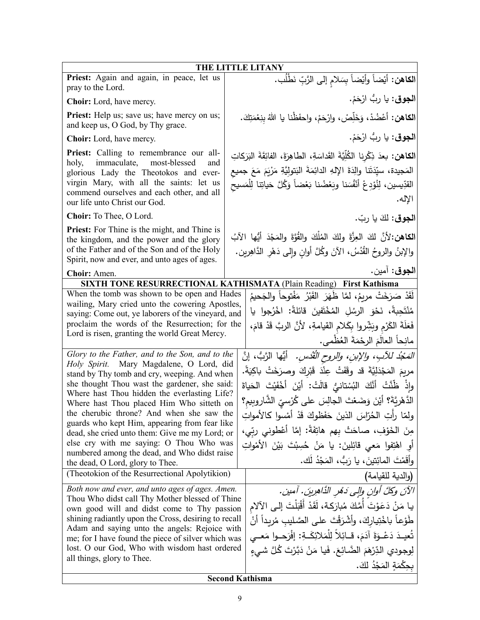| THE LITTLE LITANY                                                                                                                                                                                                                                                                                                                                                                                                                                                                                                                                                                                                                                                                                                                                                                                                                                                                                                                                                                                                                                                                                                                                                                                                                                                                                                                                                                                                                                                                                                                                                                                                                                                                                                                                                                                         |                                                                                                                                                                                                                                                                                                                                                               |  |  |
|-----------------------------------------------------------------------------------------------------------------------------------------------------------------------------------------------------------------------------------------------------------------------------------------------------------------------------------------------------------------------------------------------------------------------------------------------------------------------------------------------------------------------------------------------------------------------------------------------------------------------------------------------------------------------------------------------------------------------------------------------------------------------------------------------------------------------------------------------------------------------------------------------------------------------------------------------------------------------------------------------------------------------------------------------------------------------------------------------------------------------------------------------------------------------------------------------------------------------------------------------------------------------------------------------------------------------------------------------------------------------------------------------------------------------------------------------------------------------------------------------------------------------------------------------------------------------------------------------------------------------------------------------------------------------------------------------------------------------------------------------------------------------------------------------------------|---------------------------------------------------------------------------------------------------------------------------------------------------------------------------------------------------------------------------------------------------------------------------------------------------------------------------------------------------------------|--|--|
| Priest: Again and again, in peace, let us<br>pray to the Lord.                                                                                                                                                                                                                                                                                                                                                                                                                                                                                                                                                                                                                                                                                                                                                                                                                                                                                                                                                                                                                                                                                                                                                                                                                                                                                                                                                                                                                                                                                                                                                                                                                                                                                                                                            | الكاهن: أَيْضاً وأَيْضاً بِسَلامِ إلى الرَّبِّ نَطْلُب.                                                                                                                                                                                                                                                                                                       |  |  |
| <b>Choir:</b> Lord, have mercy.                                                                                                                                                                                                                                                                                                                                                                                                                                                                                                                                                                                                                                                                                                                                                                                                                                                                                                                                                                                                                                                                                                                                                                                                                                                                                                                                                                                                                                                                                                                                                                                                                                                                                                                                                                           | ا <b>لجوق</b> : يا ربُّ ارْحَمْ.                                                                                                                                                                                                                                                                                                                              |  |  |
| <b>Priest:</b> Help us; save us; have mercy on us;<br>and keep us, O God, by Thy grace.                                                                                                                                                                                                                                                                                                                                                                                                                                                                                                                                                                                                                                                                                                                                                                                                                                                                                                                                                                                                                                                                                                                                                                                                                                                                                                                                                                                                                                                                                                                                                                                                                                                                                                                   | ا <b>لكاهن:</b> أعْضُدْ، وَخَلِّصْ، وارْحَمْ، واحفَظْنا يا اللهُ بِنِعْمَتِكَ.                                                                                                                                                                                                                                                                                |  |  |
| <b>Choir:</b> Lord, have mercy.                                                                                                                                                                                                                                                                                                                                                                                                                                                                                                                                                                                                                                                                                                                                                                                                                                                                                                                                                                                                                                                                                                                                                                                                                                                                                                                                                                                                                                                                                                                                                                                                                                                                                                                                                                           | ا <b>لجوق</b> : يا ربُّ ارْحَمْ.                                                                                                                                                                                                                                                                                                                              |  |  |
| <b>Priest:</b> Calling to remembrance our all-<br>immaculate,<br>holy,<br>most-blessed<br>and<br>glorious Lady the Theotokos and ever-<br>virgin Mary, with all the saints: let us<br>commend ourselves and each other, and all<br>our life unto Christ our God.                                                                                                                                                                                                                                                                                                                                                                                                                                                                                                                                                                                                                                                                                                                                                                                                                                                                                                                                                                                                                                                                                                                                                                                                                                                                                                                                                                                                                                                                                                                                          | ا <b>لكاهن:</b> بعدَ ذِكْرِنا الكُلِّيَّةَ القَداسَةِ، الطاهِرَةَ، الفائِقَةَ البَرَكاتِ<br>المَجيدة، سيِّدَتَنا والِدَةَ الإلهِ الدائِمَةَ البَتولِيَّةِ مَرْيَمَ مَعَ جميع<br>القدِّيسين، لِنُوْدِعْ أَنْفُسَنا وبَعْضُنا بَعْضاً وَكُلَّ حَياتِنا لِلْمَسيح<br>الإله.                                                                                      |  |  |
| Choir: To Thee, O Lord.                                                                                                                                                                                                                                                                                                                                                                                                                                                                                                                                                                                                                                                                                                                                                                                                                                                                                                                                                                                                                                                                                                                                                                                                                                                                                                                                                                                                                                                                                                                                                                                                                                                                                                                                                                                   | ا <b>لجوق</b> : لكَ يا ربّ.                                                                                                                                                                                                                                                                                                                                   |  |  |
| <b>Priest:</b> For Thine is the might, and Thine is<br>the kingdom, and the power and the glory<br>of the Father and of the Son and of the Holy<br>Spirit, now and ever, and unto ages of ages.                                                                                                                                                                                                                                                                                                                                                                                                                                                                                                                                                                                                                                                                                                                                                                                                                                                                                                                                                                                                                                                                                                                                                                                                                                                                                                                                                                                                                                                                                                                                                                                                           | الكاهن:لأنَّ لكَ العِزَّةَ ولكَ المُلْكَ والقُوَّةَ والمَجْدَ أيُّها الآبُ<br>والإبنُ والروحُ القُدُسُ، الآنَ وكُلَّ أوانِ وإلى دَهْرِ الدَّاهِرينِ.                                                                                                                                                                                                          |  |  |
| Choir: Amen.                                                                                                                                                                                                                                                                                                                                                                                                                                                                                                                                                                                                                                                                                                                                                                                                                                                                                                                                                                                                                                                                                                                                                                                                                                                                                                                                                                                                                                                                                                                                                                                                                                                                                                                                                                                              | ا <b>لجوق</b> : آمين.                                                                                                                                                                                                                                                                                                                                         |  |  |
| SIXTH TONE RESURRECTIONAL KATHISMATA (Plain Reading) First Kathisma<br>When the tomb was shown to be open and Hades<br>لَقَدْ صَرَخَتْ مربِمُ، لمَّا ظَهَرَ  القَبْرُ  مَفْتوحاً  والجَحيمُ<br>wailing, Mary cried unto the cowering Apostles,<br>مُنْتَحِبةً، نَحْوَ الرسُلِ المُخْتَفينَ قائلةً: اخْرُجوا يا<br>saying: Come out, ye laborers of the vineyard, and<br>proclaim the words of the Resurrection; for the<br>فَعَلَةَ الكَرْمِ وبَشِّروا بِكَلامِ القيامةِ، لأنَّ الربَّ قَدْ قامَ،<br>Lord is risen, granting the world Great Mercy.<br>مانِحاً العالَمَ الرحْمَةَ العُظْمي.<br><i>التَّحْدُ للآبِ، والإبنِ، والروح القُدْسِ.</i> أَيُّها الزَّبُّ، إنَّ<br>Glory to the Father, and to the Son, and to the<br>Holy Spirit. Mary Magdalene, O Lord, did<br>مريمَ المَجْدَلِيَّةَ قد وقَفَتْ عِنْدَ قَبْرِكَ وصرَخَتْ باكِيَةً.<br>stand by Thy tomb and cry, weeping. And when<br>she thought Thou wast the gardener, she said:<br>وإِذْ ظُنَّتْ أَنَّكَ الْبُسْتانيُّ قَالَتْ: أَيْنَ أَخْفَيْتَ الْحَياةَ<br>Where hast Thou hidden the everlasting Life?<br>الدَّهْرِيَّةَ؟ أَيْنَ وَضَعْتَ الْجالِسَ على كُرْسيِّ الشَّاروبيم؟<br>Where hast Thou placed Him Who sitteth on<br>the cherubic throne? And when she saw the<br>ولمّا رأَتِ الحُرّاسَ الذينَ حَفَظوكَ قَدْ أَمْسُوا كالأَمواتِ<br>guards who kept Him, appearing from fear like<br>مِنَ الْخَوْفِ، صاحَتْ بهم هاتِفَةً: إِمَّا أَعْطُونِي ربِّي،<br>dead, she cried unto them: Give me my Lord; or<br>else cry with me saying: O Thou Who was<br>أُو اهْتِفوا مَعى قائِلينَ: يا مَنْ حُسِبْتَ بَيْنَ الأَمْواتِ<br>numbered among the dead, and Who didst raise<br>وأَقَمْتَ المائِتينَ، يا رَبُّ، المَجْدُ لَك.<br>the dead, O Lord, glory to Thee.<br>(Theotokion of the Resurrectional Apolytikion)<br>(والدية للقيامة) |                                                                                                                                                                                                                                                                                                                                                               |  |  |
| Both now and ever, and unto ages of ages. Amen.<br>Thou Who didst call Thy Mother blessed of Thine<br>own good will and didst come to Thy passion<br>shining radiantly upon the Cross, desiring to recall<br>Adam and saying unto the angels: Rejoice with<br>me; for I have found the piece of silver which was<br>lost. O our God, Who with wisdom hast ordered<br>all things, glory to Thee.                                                                                                                                                                                                                                                                                                                                                                                                                                                                                                                                                                                                                                                                                                                                                                                                                                                                                                                                                                                                                                                                                                                                                                                                                                                                                                                                                                                                           | الآنَ وكلَّ أوانِ والِي دَهْرِ الذَّاهِرِينَ. آمين.<br>يا مَنْ دَعَوْتَ أَمَّكَ مُبارَكة، لَقَدْ أَقْبَلْتَ إلى الآلام<br>طَوْعاً باخْتِيارِكَ، وأشْرَقْتَ على الصَّليبِ مُرِيداً أنْ<br>تُعيدَ دَعْـوَةَ آدَمَ، قــائِلاً لِلْمَلائِكَــةِ: إفْرَحــوا مَعــى<br>لِوجودي الدِّرْهَمَ الضَّائِعَ. فَيا مَنْ دَبَّرْتَ كُلَّ شَيءٍ<br>بحِكْمَةٍ المَجْدُ لَكَ. |  |  |
| <b>Second Kathisma</b>                                                                                                                                                                                                                                                                                                                                                                                                                                                                                                                                                                                                                                                                                                                                                                                                                                                                                                                                                                                                                                                                                                                                                                                                                                                                                                                                                                                                                                                                                                                                                                                                                                                                                                                                                                                    |                                                                                                                                                                                                                                                                                                                                                               |  |  |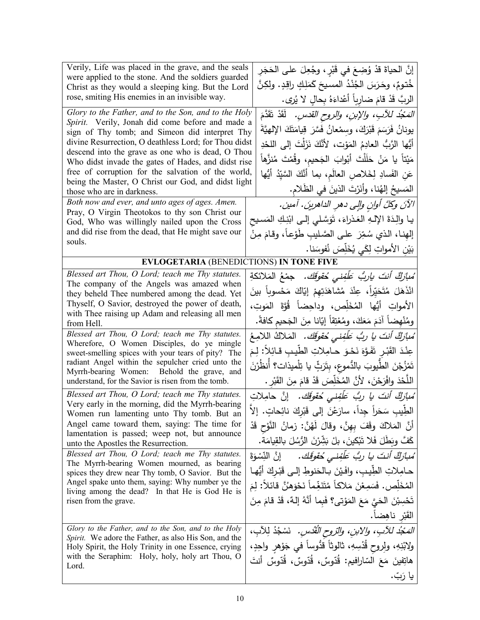| Verily, Life was placed in the grave, and the seals<br>were applied to the stone. And the soldiers guarded<br>Christ as they would a sleeping king. But the Lord<br>rose, smiting His enemies in an invisible way.                                                                                                                                                                                                                                                                                                                                                              | إنَّ الحياةَ قدْ وُضِعَ في قَبْرِ ، وجُعِلَ على الحَجَرِ<br>خُتومٌ، وحَرَسَ الجُنْدُ المسيحَ كَمَلِكٍ راقِدٍ. ولكِنَّ<br>الربَّ قَدْ قامَ ضارباً أعْداءَهُ بِحالٍ لا يُرى.                                                                                                                                                                                                                                                             |
|---------------------------------------------------------------------------------------------------------------------------------------------------------------------------------------------------------------------------------------------------------------------------------------------------------------------------------------------------------------------------------------------------------------------------------------------------------------------------------------------------------------------------------------------------------------------------------|----------------------------------------------------------------------------------------------------------------------------------------------------------------------------------------------------------------------------------------------------------------------------------------------------------------------------------------------------------------------------------------------------------------------------------------|
| Glory to the Father, and to the Son, and to the Holy<br>Spirit. Verily, Jonah did come before and made a<br>sign of Thy tomb; and Simeon did interpret Thy<br>divine Resurrection, O deathless Lord; for Thou didst<br>descend into the grave as one who is dead, O Thou<br>Who didst invade the gates of Hades, and didst rise<br>free of corruption for the salvation of the world,<br>being the Master, O Christ our God, and didst light<br>those who are in darkness.<br>Both now and ever, and unto ages of ages. Amen.<br>Pray, O Virgin Theotokos to thy son Christ our | المَجْدُ للآبِ، والإبن، والروح القدس.    لَقَدْ تَقَدَّمَ<br>يونانُ فَرَسَمَ قَبْرَكَ، وسمْعانُ فَسَّرَ قِيامَتَكَ الإِلهيَّةَ<br>أَيُّها الرَّبُّ العادِمُ المَوْت، لأَنَّكَ نَزَلْتَ إلى اللحْدِ<br>مَيْتاً يا مَنْ حَلَلْتَ أَبْوابَ الْجَحيم، وقُمْتَ مُنزَّهاً<br>عَنِ الفَسادِ لِخَلاصِ العالَم، بما أنَّكَ السَّيِّدُ أَيُّها<br>المَسيحُ إلهُنا، وأَنَرْتَ الذينَ في الظُّلام.<br>الآنَ وكلَّ أوانِ وإلى دهرِ الداهرينَ. آمين. |
| God, Who was willingly nailed upon the Cross<br>and did rise from the dead, that He might save our                                                                                                                                                                                                                                                                                                                                                                                                                                                                              | يـا والِدَةَ الإلـهِ العَــٰزاءَ، تَوَسَّـلي إلـى ابْنِـكِ المَسـيح                                                                                                                                                                                                                                                                                                                                                                    |
| souls.                                                                                                                                                                                                                                                                                                                                                                                                                                                                                                                                                                          | إلهِنا، الذي سُمِّرَ على الصَّليبِ طَوْعاً، وقامَ مِنْ<br>بَيْنِ الأَمواتِ لِكَي يُخَلِّصَ نُفوسَنا.                                                                                                                                                                                                                                                                                                                                   |
| <b>EVLOGETARIA (BENEDICTIONS) IN TONE FIVE</b>                                                                                                                                                                                                                                                                                                                                                                                                                                                                                                                                  |                                                                                                                                                                                                                                                                                                                                                                                                                                        |
| Blessed art Thou, O Lord; teach me Thy statutes.                                                                                                                                                                                                                                                                                                                                                                                                                                                                                                                                | َ <i>مْبِارَكٌ أَنتَ يارِبٌ عَلَّفِنى حُقوقَك.</i> جمْعُ المَلائكةِ                                                                                                                                                                                                                                                                                                                                                                    |
| The company of the Angels was amazed when<br>they beheld Thee numbered among the dead. Yet<br>Thyself, O Savior, destroyed the power of death,<br>with Thee raising up Adam and releasing all men                                                                                                                                                                                                                                                                                                                                                                               | انْذَهَلَ مُتَحَيِّراً، عِنْدَ مُشاهَدَتِهِمْ إِيَّاكَ مَحْسوباً بينَ<br>الأمواتِ أَيُّها المُخَلِّص، وداحِضاً قُوَّةَ المَوتِ،<br>ومُنْهِضاً آدَمَ مَعَكَ، ومُعْتِقاً إيّانا مِنَ الْجَحيم كافةً.                                                                                                                                                                                                                                     |
| from Hell.<br>Blessed art Thou, O Lord; teach me Thy statutes.                                                                                                                                                                                                                                                                                                                                                                                                                                                                                                                  |                                                                                                                                                                                                                                                                                                                                                                                                                                        |
| Wherefore, O Women Disciples, do ye mingle<br>sweet-smelling spices with your tears of pity? The<br>radiant Angel within the sepulcher cried unto the<br>Myrrh-bearing Women: Behold the grave, and<br>understand, for the Savior is risen from the tomb.                                                                                                                                                                                                                                                                                                                       | مُ <i>بارَكٌ أنتَ يا ربُّ عَلَّفِنى حُقوقَك.</i> المَلاكُ اللامِعُ<br>عِنْدَ القَبْرِ تَفَوَّهَ نَحْوَ حامِلاتِ الطَّيبِ قـائِلاً: لِـمَ<br>تَمْزُجْنَ الطَّيوبَ بالدُّموعِ، بِتَرَثِّ يا تِلْميذات؟ أنظَرْنَ<br>اللَّحْدَ وافْرَحْنَ، لأَنَّ المُخَلِّصَ قَدْ قامَ مِنَ القَبْرِ .                                                                                                                                                    |
| Blessed art Thou, O Lord; teach me Thy statutes.<br>Very early in the morning, did the Myrrh-bearing<br>Women run lamenting unto Thy tomb. But an<br>Angel came toward them, saying: The time for<br>lamentation is passed; weep not, but announce<br>unto the Apostles the Resurrection.                                                                                                                                                                                                                                                                                       | مُ <i>بازڭ أنتَ يا ربُّ عَلَّفِنى حُقوقَك.</i> إنَّ حامِلاتِ<br>الطِّيبِ سَحَراً جِداً، سارَعْنَ إِلَى قَبْرِكَ نائِحاتٍ. إلاَّ<br>أَنَّ المَلاكَ وقَفَ بِهِنَّ، وقالَ لَهُنَّ: زمانُ النَّوْحِ قَدْ<br>كَفَّ وبَطَلَ فَلا تَبْكينَ، بلْ بَشِّرْنَ الرُّسُلَ بِالقِيامَةِ.                                                                                                                                                             |
| Blessed art Thou, O Lord; teach me Thy statutes.<br>The Myrrh-bearing Women mourned, as bearing<br>spices they drew near Thy tomb, O Savior. But the<br>Angel spake unto them, saying: Why number ye the<br>living among the dead? In that He is God He is<br>risen from the grave.                                                                                                                                                                                                                                                                                             | مُبارَكٌ أنتَ يا ربُّ عَلْفِني حُقوَقِك.<br>إِنَّ النِّسْوَةَ<br>حـامِلاتِ الطِّيب، وافَيْنَ بـالحَنوطِ إلـى قَبْرِكَ أَيُّهـا<br>المُخَلِّص. فَسَمِعْنَ مَلاكاً مُتَنَغِّماً نَحْوَهْنَّ قائلاً: لِمَ<br>تَحْسِبْنَ الْحَيَّ مَعَ الْمَوْتِي؟ فَبِما أَنَّهُ إِلَٰهٌ، قَدْ قَامَ مِنَ<br>القَبْرِ ناهِضاً.                                                                                                                            |
| Glory to the Father, and to the Son, and to the Holy<br>Spirit. We adore the Father, as also His Son, and the<br>Holy Spirit, the Holy Trinity in one Essence, crying<br>with the Seraphim: Holy, holy, holy art Thou, O<br>Lord.                                                                                                                                                                                                                                                                                                                                               | المَعْبُد للآبِ، والابنِ، والتروح القُدْسِ. ۚ نَسْجُدُ لِلآبِ،<br>ولابْنِهِ، ولِروح قُدْسِهِ، ثالوثاً قدُّوساً في جَوْهرِ واحِدٍ،<br>هاتِفينَ مَعَ السّارافيم: قُدّوسٌ، قُدّوسٌ، قُدّوسٌ أنتَ<br>يا رَبّ.                                                                                                                                                                                                                              |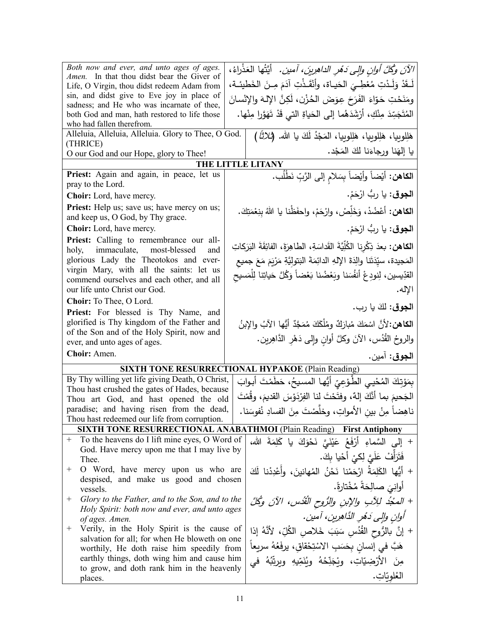| Both now and ever, and unto ages of ages.                                                                                   | الآنَ وكُكَّ أُوانِ وإلى دَهْرِ الداهرِينَ، أمين. أيَّتُها العَذْراءُ،                   |                                                               |
|-----------------------------------------------------------------------------------------------------------------------------|------------------------------------------------------------------------------------------|---------------------------------------------------------------|
| Amen. In that thou didst bear the Giver of<br>Life, O Virgin, thou didst redeem Adam from                                   | لَـقَدْ وَلَـدْتِ مُعْطِـيَ الحَيـاة، وأَنْقَـذْتِ آدَمَ مِـنَ الخَطيئـة،                |                                                               |
| sin, and didst give to Eve joy in place of                                                                                  | ومَنَحْتِ حَوّاءَ الفَرَحَ عِوَضَ الحُزْنِ، لَكِنَّ الإِلهَ والإِنْسانَ                  |                                                               |
| sadness; and He who was incarnate of thee,                                                                                  |                                                                                          |                                                               |
| both God and man, hath restored to life those<br>who had fallen therefrom.                                                  | الْمُتَجَسِّدَ مِنْكِ، أَرْشَدَهُما إِلَى الْحَياةِ الَّتِي قَدْ تَهَوَّرا مِنْها.       |                                                               |
| Alleluia, Alleluia, Alleluia. Glory to Thee, O God.                                                                         | هَلِلوبِيا، هَلِلوبِيا، هَلِلوبِيا، المَجْدُ لَكَ يا الله. (ثلاثًا)                      |                                                               |
| (THRICE)                                                                                                                    |                                                                                          | يا إلهَنا ورجاءَنا لكَ المَجْد.                               |
| O our God and our Hope, glory to Thee!                                                                                      | <b>THE LITTLE LITANY</b>                                                                 |                                                               |
| Priest: Again and again, in peace, let us                                                                                   |                                                                                          |                                                               |
| pray to the Lord.                                                                                                           |                                                                                          | ا <b>لكاهن:</b> أيْضاً وأيْضاً بِسَلامِ إلى الرَّبِّ نَطْلُب. |
| Choir: Lord, have mercy.                                                                                                    |                                                                                          | ا <b>لجوق</b> : يا ربُّ ارْحَمْ.                              |
| <b>Priest:</b> Help us; save us; have mercy on us;<br>and keep us, O God, by Thy grace.                                     | ا <b>لكاهن:</b> أعْضُدْ، وَخَلِّصْ، وارْحَمْ، واحفَظْنا يا اللهُ بِنِعْمَتِكَ.           |                                                               |
| Choir: Lord, have mercy.                                                                                                    |                                                                                          | ا <b>لجوق</b> : يا ربُّ ارْحَمْ.                              |
| Priest: Calling to remembrance our all-<br>immaculate, most-blessed<br>holy,<br>and                                         | ا <b>لكاهن:</b> بعدَ ذِكْرِنا الكُلِّيَّةَ القَداسَةِ، الطاهِرَةَ، الفائِقَةَ البَرَكاتِ |                                                               |
| glorious Lady the Theotokos and ever-                                                                                       | المَجيدة، سيِّدَتَنا والِدَةَ الإلهِ الدائِمَةَ البَتولِيَّةِ مَرْيَمَ مَعَ جميع         |                                                               |
| virgin Mary, with all the saints: let us                                                                                    |                                                                                          |                                                               |
| commend ourselves and each other, and all                                                                                   | القدِّيسين، لِنودِعْ أَنفُسَنا وبَعْضُنا بَعْضاً وَكُلَّ حَياتِنا لِلْمَسيحِ             |                                                               |
| our life unto Christ our God.                                                                                               |                                                                                          | الإله.                                                        |
| Choir: To Thee, O Lord.<br>Priest: For blessed is Thy Name, and                                                             |                                                                                          | ا <b>لجوق:</b> لكَ يا رب.                                     |
| glorified is Thy kingdom of the Father and                                                                                  | ا <b>لكاهن:</b> 'لأنَّ اسْمَكَ مُبارَكٌ ومُلْكَكَ مُمَجَّدٌ أَيُّها الآبُ والإِبنُ       |                                                               |
| of the Son and of the Holy Spirit, now and                                                                                  |                                                                                          |                                                               |
| ever, and unto ages of ages.                                                                                                |                                                                                          | والروحُ القُدُس، الأنَ وكلَّ أوانِ وإلى دَهْرِ الدَّاهِرين.   |
| Choir: Amen.                                                                                                                |                                                                                          | ا <b>لجوق</b> : آمين.                                         |
| <b>SIXTH TONE RESURRECTIONAL HYPAKOE (Plain Reading)</b>                                                                    |                                                                                          |                                                               |
| By Thy willing yet life giving Death, O Christ,<br>Thou hast crushed the gates of Hades, because                            | بِمَوْتِكَ المُحْييِ الطَّوْعِيِّ أَيُّها المسيحُ، حَطَّمْتَ أبوابَ                      |                                                               |
| Thou art God, and hast opened the old                                                                                       | الجَحيمَ بما أَنَّكَ إِلهٌ، وفتَحْتَ لَنا الفِرْدَوْسَ القديمَ، وقُمْتَ                  |                                                               |
| paradise; and having risen from the dead,                                                                                   | ناهِضاً مِنْ بينِ الأمواتِ، وخلَّصْتَ مِنَ الفسادِ نُفوسَنا.                             |                                                               |
| Thou hast redeemed our life from corruption.<br><b>SIXTH TONE RESURRECTIONAL ANABATHMOI</b> (Plain Reading) First Antiphony |                                                                                          |                                                               |
| To the heavens do I lift mine eyes, O Word of<br>$^{+}$                                                                     |                                                                                          |                                                               |
| God. Have mercy upon me that I may live by                                                                                  | + إِلَى السَّماءِ أَرْفَعُ عَيْنَيَّ نَحْوَكَ يا كَلِمَةَ الله،                          |                                                               |
| Thee.                                                                                                                       |                                                                                          | فَتَرَأَفْ عَلَيَّ لِكيْ أَحْيا بِكَ.                         |
| O Word, have mercy upon us who are<br>$^+$<br>despised, and make us good and chosen                                         | + أَيُّها الكَلِمَةُ ارْحَمْنا نَحْنُ المُهانينَ، وأَعْدِدْنا لَكَ                       |                                                               |
| vessels.                                                                                                                    |                                                                                          | أُوانِيَ صالِحَةً مُخْتارةً.                                  |
| Glory to the Father, and to the Son, and to the<br>$^{+}$                                                                   | + المدْجُد للِأَبِ والإبنِ والرُّوح القُدْس، الآنَ وكُلَّ                                |                                                               |
| Holy Spirit: both now and ever, and unto ages<br>of ages. Amen.                                                             |                                                                                          | أوان والي دَهْرِ الدَّاهِرِينِ، آمينِ.                        |
| Verily, in the Holy Spirit is the cause of<br>$^{+}$                                                                        |                                                                                          |                                                               |
|                                                                                                                             |                                                                                          | + إنَّ بالرُّوحِ القُدُسِ سَبَبَ خَلاصِ الكُلِّ، لأنَّهُ إذا  |
| salvation for all; for when He bloweth on one                                                                               | هَبَّ في إنسانٍ بِحَسَبِ الاسْتِحْقاقِ، يرفَعُهُ سريعاً                                  |                                                               |
| worthily, He doth raise him speedily from<br>earthly things, doth wing him and cause him                                    |                                                                                          |                                                               |
| to grow, and doth rank him in the heavenly<br>places.                                                                       | مِنَ الأَرْضِيّاتِ، ويُجَنِّحُهُ ويُنَمِّيهِ ويرتِّبُهُ في                               | العُلويّاتِ.                                                  |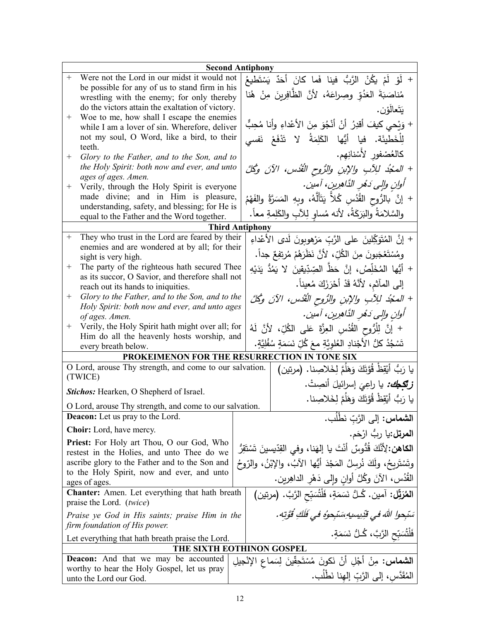|                                                                                                                                           | <b>Second Antiphony</b>                                                                    |  |                 |                                                                                    |
|-------------------------------------------------------------------------------------------------------------------------------------------|--------------------------------------------------------------------------------------------|--|-----------------|------------------------------------------------------------------------------------|
| $+$                                                                                                                                       | Were not the Lord in our midst it would not                                                |  |                 | + لَوْ لَمْ يكُنْ الرَّبُ فينا فَما كانَ أَحَدٌ يَسْتَطْيعُ                        |
|                                                                                                                                           | be possible for any of us to stand firm in his                                             |  |                 |                                                                                    |
|                                                                                                                                           | wrestling with the enemy; for only thereby                                                 |  |                 | مُناصَبَةَ العَدُوِّ وصِراعَهُ، لأنَّ الظَّافِرينَ مِنْ هُنا                       |
|                                                                                                                                           | do the victors attain the exaltation of victory.                                           |  |                 | يَتَعالَوْن.                                                                       |
| $^{+}$                                                                                                                                    | Woe to me, how shall I escape the enemies<br>while I am a lover of sin. Wherefore, deliver |  |                 | + وَيْحِي كيفَ أقدِرُ أَنْ أَنْجُوَ مِنَ الأَعْداءِ وأنا مُحِبٌّ                   |
|                                                                                                                                           | not my soul, O Word, like a bird, to their                                                 |  |                 |                                                                                    |
|                                                                                                                                           | teeth.                                                                                     |  |                 | لِلْخَطْيِئَة. فيا أَيُّها الْكَلِمَةُ لا تَذْفَعْ نَفْسى                          |
| $^{+}$                                                                                                                                    | Glory to the Father, and to the Son, and to                                                |  |                 | كالعُصْفورِ لأَسْنانِهِم.                                                          |
|                                                                                                                                           | the Holy Spirit: both now and ever, and unto                                               |  |                 | + المجْدُ للِآبِ والإبنِ والرُّوحِ القُدُسِ، الآنَ وكُلَّ                          |
|                                                                                                                                           | ages of ages. Amen.                                                                        |  |                 | أوانِ والِي دَهُرِ الدَّاهِرِينِ، آمينِ.                                           |
| $^{+}$                                                                                                                                    | Verily, through the Holy Spirit is everyone<br>made divine; and in Him is pleasure,        |  |                 |                                                                                    |
|                                                                                                                                           | understanding, safety, and blessing; for He is                                             |  |                 | + إنَّ بالرُّوحِ القُدُسِ كُلاًّ يَتَأَلَّهُ، وبِهِ المَسَرَّةُ والفَهْمُ          |
|                                                                                                                                           | equal to the Father and the Word together.                                                 |  |                 | والسَّلامَةُ والبَرَكَةُ، لأنه مُساوِ لِلآبِ والكَلِمةِ معاً.                      |
|                                                                                                                                           |                                                                                            |  | Third Antiphony |                                                                                    |
| $\! + \!\!\!\!$                                                                                                                           | They who trust in the Lord are feared by their                                             |  |                 | + إنَّ المُتَوَكِّلينَ على الرَّبِّ مَرْهوبونَ لَدى الأعْداءِ                      |
|                                                                                                                                           | enemies and are wondered at by all; for their<br>sight is very high.                       |  |                 | ومُسْتَعْجَبونَ مِنَ الكُلِّ، لأَنَّ نَظَرَهُمْ مُرتِفِعٌ جداً.                    |
| $^+$                                                                                                                                      | The party of the righteous hath secured Thee                                               |  |                 | + أَيُّها المُخَلِّصُ، إنَّ حَظٌّ الصِّدِّيقينَ لا يَمُدُّ يَدَيْهِ                |
|                                                                                                                                           | as its succor, O Savior, and therefore shall not                                           |  |                 |                                                                                    |
|                                                                                                                                           | reach out its hands to iniquities.                                                         |  |                 | إلى المآثم، لأنَّهُ قَدْ أَحْرَزَكَ مُعيناً.                                       |
| $^{+}$                                                                                                                                    | Glory to the Father, and to the Son, and to the                                            |  |                 | + المحْدُ للِآبِ والإبنِ والرُوحِ الْقُدْسِ، الآنَ وكُلَّ                          |
|                                                                                                                                           | Holy Spirit: both now and ever, and unto ages                                              |  |                 |                                                                                    |
|                                                                                                                                           | of ages. Amen.                                                                             |  |                 | أوان والي دَهُر الدَّاهِرِينِ، آمينِ.                                              |
| $^{+}$                                                                                                                                    | Verily, the Holy Spirit hath might over all; for                                           |  |                 | + إِنَّ لِلْرُوحِ القُدُسِ الْعِزَّةَ عَلَى الْكُلِّ، لأَنَّ لَهُ                  |
| Him do all the heavenly hosts worship, and<br>تَسْجُدُ كلُّ الأَجْنادِ العُلويَّةِ معَ كُلِّ نَسَمَةٍ سُفْلِيَّةٍ.<br>every breath below. |                                                                                            |  |                 |                                                                                    |
| PROKEIMENON FOR THE RESURRECTION IN TONE SIX                                                                                              |                                                                                            |  |                 |                                                                                    |
| O Lord, arouse Thy strength, and come to our salvation.<br>يا رَبُّ أَيْقِظْ قُوَّتَكَ وَهَلُمَّ لِخَلاصِنا. (مرتين)                      |                                                                                            |  |                 |                                                                                    |
| (TWICE)                                                                                                                                   |                                                                                            |  |                 |                                                                                    |
| <b>Stichos:</b> Hearken, O Shepherd of Israel.                                                                                            |                                                                                            |  |                 | <b>زتيمبك:</b> يا راعِيَ إسرائيلَ أنصِتْ.                                          |
|                                                                                                                                           | O Lord, arouse Thy strength, and come to our salvation.                                    |  |                 | يا رَبُّ أَيْقِظٌ قُوَّتَكَ وَهَلُمَّ لِخَلاصِنا.                                  |
|                                                                                                                                           | <b>Deacon:</b> Let us pray to the Lord.                                                    |  |                 | ا <b>لشماس:</b> إلى الرَّبّ نَطْلُب.                                               |
|                                                                                                                                           | <b>Choir:</b> Lord, have mercy.                                                            |  |                 | ا <b>لمرتل:</b> يا ربُّ ارْحَم.                                                    |
|                                                                                                                                           | <b>Priest:</b> For Holy art Thou, O our God, Who                                           |  |                 |                                                                                    |
|                                                                                                                                           | restest in the Holies, and unto Thee do we                                                 |  |                 | ا <b>لكاهن:</b> 'لِأَنَّكَ قُدُّوسٌ أَنْتَ يا إِلهَنا، وفي القِدّيسينَ تَسْتَقِرُّ |
|                                                                                                                                           | ascribe glory to the Father and to the Son and                                             |  |                 | وتَسْتَرِيحُ، ولَكَ نُرِسِلُ المَجْدَ أَيُّها الآبُ، والإِبْنُ، والرّوحُ           |
|                                                                                                                                           | to the Holy Spirit, now and ever, and unto                                                 |  |                 | القُدُس، الآنَ وكُلَّ أُوانٍ وإلى دَهْرِ الداهِرِينِ.                              |
|                                                                                                                                           | ages of ages.<br>Chanter: Amen. Let everything that hath breath                            |  |                 |                                                                                    |
|                                                                                                                                           | praise the Lord. (twice)                                                                   |  |                 | ا <b>لمُرَتِّل:</b> آمين. كُـلُّ نَسَمَةٍ، فَلْتُسَبِّحِ الرَّبَّ. (مرتين)         |
| سَبْحوا اللهَ في قَدِيسِيهِ سَبْحوهُ في فَلَكِ قُوَّتِه.<br>Praise ye God in His saints; praise Him in the                                |                                                                                            |  |                 |                                                                                    |
| firm foundation of His power.                                                                                                             |                                                                                            |  |                 |                                                                                    |
| فَلْتُسَبِّحِ الرَّبَّ، كُـلُّ نَسَمَةٍ.<br>Let everything that hath breath praise the Lord.                                              |                                                                                            |  |                 |                                                                                    |
| THE SIXTH EOTHINON GOSPEL                                                                                                                 |                                                                                            |  |                 |                                                                                    |
|                                                                                                                                           | <b>Deacon:</b> And that we may be accounted<br>worthy to hear the Holy Gospel, let us pray |  |                 | ا <b>لشماس:</b> مِنْ أَجْلِ أَنْ نَكونَ مُسْتَحِقّينَ لِسَماعِ الإِنْجِيلِ         |
|                                                                                                                                           | unto the Lord our God.                                                                     |  |                 | المُقَدَّسِ، إلى الرَّبِّ إلهِنا نَطْلَب.                                          |
|                                                                                                                                           |                                                                                            |  |                 |                                                                                    |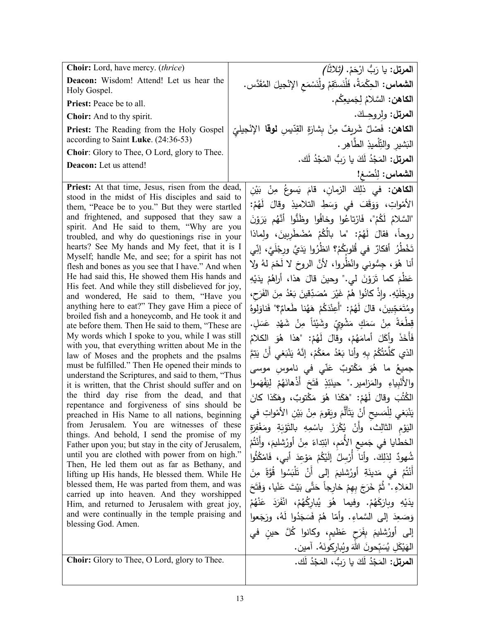| <b>Choir:</b> Lord, have mercy. (thrice)                                                                                                                                                                                                                                                                                                                                                                                                                                                                                                                                                                                                                                                                                                                                                                                                                                                                                                                                                                                                                                                                                                                                                                                                                                                                                                                                                                                                                                                                                                                                                                                                                                                                                                                                                              | ا <b>لمرتل:</b> يا رَبُّ ارْحَمْ. <i>(تْلاثَاُ)</i>                                                                                                                                                                                                                                                                                                                                                                                                                                                                                                                                                                                                                                                                                                                                                                                                                                                                                                                                                                                                                                                                                                                                                                                                                                                                                                                                                                                                                                                                                                                                                                                                                                                                   |
|-------------------------------------------------------------------------------------------------------------------------------------------------------------------------------------------------------------------------------------------------------------------------------------------------------------------------------------------------------------------------------------------------------------------------------------------------------------------------------------------------------------------------------------------------------------------------------------------------------------------------------------------------------------------------------------------------------------------------------------------------------------------------------------------------------------------------------------------------------------------------------------------------------------------------------------------------------------------------------------------------------------------------------------------------------------------------------------------------------------------------------------------------------------------------------------------------------------------------------------------------------------------------------------------------------------------------------------------------------------------------------------------------------------------------------------------------------------------------------------------------------------------------------------------------------------------------------------------------------------------------------------------------------------------------------------------------------------------------------------------------------------------------------------------------------|-----------------------------------------------------------------------------------------------------------------------------------------------------------------------------------------------------------------------------------------------------------------------------------------------------------------------------------------------------------------------------------------------------------------------------------------------------------------------------------------------------------------------------------------------------------------------------------------------------------------------------------------------------------------------------------------------------------------------------------------------------------------------------------------------------------------------------------------------------------------------------------------------------------------------------------------------------------------------------------------------------------------------------------------------------------------------------------------------------------------------------------------------------------------------------------------------------------------------------------------------------------------------------------------------------------------------------------------------------------------------------------------------------------------------------------------------------------------------------------------------------------------------------------------------------------------------------------------------------------------------------------------------------------------------------------------------------------------------|
| Deacon: Wisdom! Attend! Let us hear the<br>Holy Gospel.                                                                                                                                                                                                                                                                                                                                                                                                                                                                                                                                                                                                                                                                                                                                                                                                                                                                                                                                                                                                                                                                                                                                                                                                                                                                                                                                                                                                                                                                                                                                                                                                                                                                                                                                               | ا <b>لشماس:</b> الحِكْمَةُ، فَلْنَستَقِمْ ولْنَسْمَع الإِنْجيلَ المُقَدَّس.                                                                                                                                                                                                                                                                                                                                                                                                                                                                                                                                                                                                                                                                                                                                                                                                                                                                                                                                                                                                                                                                                                                                                                                                                                                                                                                                                                                                                                                                                                                                                                                                                                           |
| Priest: Peace be to all.                                                                                                                                                                                                                                                                                                                                                                                                                                                                                                                                                                                                                                                                                                                                                                                                                                                                                                                                                                                                                                                                                                                                                                                                                                                                                                                                                                                                                                                                                                                                                                                                                                                                                                                                                                              | ا <b>لكاهن:</b> السَّلامُ لِجَميعِكُم.                                                                                                                                                                                                                                                                                                                                                                                                                                                                                                                                                                                                                                                                                                                                                                                                                                                                                                                                                                                                                                                                                                                                                                                                                                                                                                                                                                                                                                                                                                                                                                                                                                                                                |
| <b>Choir:</b> And to thy spirit.                                                                                                                                                                                                                                                                                                                                                                                                                                                                                                                                                                                                                                                                                                                                                                                                                                                                                                                                                                                                                                                                                                                                                                                                                                                                                                                                                                                                                                                                                                                                                                                                                                                                                                                                                                      | المرتل: ولروحِكَ.                                                                                                                                                                                                                                                                                                                                                                                                                                                                                                                                                                                                                                                                                                                                                                                                                                                                                                                                                                                                                                                                                                                                                                                                                                                                                                                                                                                                                                                                                                                                                                                                                                                                                                     |
| <b>Priest:</b> The Reading from the Holy Gospel<br>according to Saint Luke. (24:36-53)                                                                                                                                                                                                                                                                                                                                                                                                                                                                                                                                                                                                                                                                                                                                                                                                                                                                                                                                                                                                                                                                                                                                                                                                                                                                                                                                                                                                                                                                                                                                                                                                                                                                                                                | ا <b>لكاهن:</b> فَصْلٌ شَرِيفٌ مِنْ بِشارَةِ القِدّيسِ <b>لوقا</b> الإِنْجِيلِيّ<br>الْبَشْيْرِ وْالتِّلْمِيْذِ الطَّاهِرِ .                                                                                                                                                                                                                                                                                                                                                                                                                                                                                                                                                                                                                                                                                                                                                                                                                                                                                                                                                                                                                                                                                                                                                                                                                                                                                                                                                                                                                                                                                                                                                                                          |
| Choir: Glory to Thee, O Lord, glory to Thee.                                                                                                                                                                                                                                                                                                                                                                                                                                                                                                                                                                                                                                                                                                                                                                                                                                                                                                                                                                                                                                                                                                                                                                                                                                                                                                                                                                                                                                                                                                                                                                                                                                                                                                                                                          |                                                                                                                                                                                                                                                                                                                                                                                                                                                                                                                                                                                                                                                                                                                                                                                                                                                                                                                                                                                                                                                                                                                                                                                                                                                                                                                                                                                                                                                                                                                                                                                                                                                                                                                       |
| Deacon: Let us attend!                                                                                                                                                                                                                                                                                                                                                                                                                                                                                                                                                                                                                                                                                                                                                                                                                                                                                                                                                                                                                                                                                                                                                                                                                                                                                                                                                                                                                                                                                                                                                                                                                                                                                                                                                                                | ا <b>لمرتل:</b> المَجْدُ لَكَ يا رَبُّ المَجْدُ لَك.                                                                                                                                                                                                                                                                                                                                                                                                                                                                                                                                                                                                                                                                                                                                                                                                                                                                                                                                                                                                                                                                                                                                                                                                                                                                                                                                                                                                                                                                                                                                                                                                                                                                  |
|                                                                                                                                                                                                                                                                                                                                                                                                                                                                                                                                                                                                                                                                                                                                                                                                                                                                                                                                                                                                                                                                                                                                                                                                                                                                                                                                                                                                                                                                                                                                                                                                                                                                                                                                                                                                       | الشماس: لِنُصْغ!                                                                                                                                                                                                                                                                                                                                                                                                                                                                                                                                                                                                                                                                                                                                                                                                                                                                                                                                                                                                                                                                                                                                                                                                                                                                                                                                                                                                                                                                                                                                                                                                                                                                                                      |
| Priest: At that time, Jesus, risen from the dead,<br>stood in the midst of His disciples and said to<br>them, "Peace be to you." But they were startled<br>and frightened, and supposed that they saw a<br>spirit. And He said to them, "Why are you<br>troubled, and why do questionings rise in your<br>hearts? See My hands and My feet, that it is I<br>Myself; handle Me, and see; for a spirit has not<br>flesh and bones as you see that I have." And when<br>He had said this, He showed them His hands and<br>His feet. And while they still disbelieved for joy,<br>and wondered, He said to them, "Have you<br>anything here to eat?" They gave Him a piece of<br>broiled fish and a honeycomb, and He took it and<br>ate before them. Then He said to them, "These are<br>My words which I spoke to you, while I was still<br>with you, that everything written about Me in the<br>law of Moses and the prophets and the psalms<br>must be fulfilled." Then He opened their minds to<br>understand the Scriptures, and said to them, "Thus<br>it is written, that the Christ should suffer and on<br>the third day rise from the dead, and that<br>repentance and forgiveness of sins should be<br>preached in His Name to all nations, beginning<br>from Jerusalem. You are witnesses of these<br>things. And behold, I send the promise of my<br>Father upon you; but stay in the city of Jerusalem,<br>until you are clothed with power from on high."<br>Then, He led them out as far as Bethany, and<br>lifting up His hands, He blessed them. While He<br>blessed them, He was parted from them, and was<br>carried up into heaven. And they worshipped<br>Him, and returned to Jerusalem with great joy,<br>and were continually in the temple praising and<br>blessing God. Amen. | ا <b>لكاهن:</b> في ذلِكَ الزمان، قامَ يَسوعُ مِنْ بَيْن<br>الأَمْواتِ، وَوَقَفَ في وَسَطِ التلاميذِ وقالَ لَهُمْ:<br>"السَّلامُ لَكُمْ"، فَارْتاعُوا وخافُوا وظَنُّوا أَنَّهُم يَرَوْنَ<br>روحاً، فقالَ لَهُمْ: "ما بالْكُمْ مُضْطَرِبِينَ، ولِماذا<br>تَخْطُرُ ۚ أَفكارٌ ۚ فِي قُلوبِكُمْ؟ انظُرُوا يَدَيَّ ورِجْلَيَّ ، إنِّي<br>أنا هُوَ، جِسُّوني وانْظُروا، لأنَّ الروحَ لا لَحْمَ لهُ ولا<br>عَظْمَ كما تَرَوْنَ لي." وحينَ قالَ هذا، أَراهُمْ يدَيْهِ<br>ورِجْلَيْهِ. وإِذْ كانُوا هُمْ غَيْرَ مُصَدِّقِينَ بَعْدُ مِنَ الْفَرَحِ،<br>وِمُتَعَجِّبِينَ، قالَ لَهُمْ: "أَعِنْدَكُمْ هَهُنا طَعامٌ؟" فَناوَلِوهُ<br>قِطْعَةً مِنْ سَمَكٍ مَشْوِيٍّ وشَيْئاً مِنْ شَهْدِ عَسَلٍ.<br>فَأَخَذَ وأَكَلَ أَمامَهُمْ، وقالَ لَهُمْ: "هذا هُوَ الكلامُ<br>الذي كَلَّمْتُكُمْ بِهِ وأنا بَعْدُ معَكُمْ، إنَّهُ يَنْبَغي أنْ يَتِمَّ<br>جميعُ ما هُوَ مَكْتوبٌ عَنّي في ناموسِ موسى<br>والأَنْبِياءِ والمَزاميرِ ." حينَئِذٍ فَتَحَ أَذْهانَهُمْ لِيَفْهَموا<br>الكُتُبَ وقالَ لَهُمْ: "هَكَذا هُوَ مَكْتوبٌ، وهَكَذا كانَ<br>يَنْبَغي لِلْمَسيحِ أَنْ يَتَأَلَّمَ ويَقومَ مِنْ بَيْنِ الأَمْواتِ في<br>اليَوْمِ الثالِث، وأَنْ يُكْرَزَ باسْمِهِ بالتَوْبَةِ ومَغْفِرَةِ<br>الخطايا في جَميع الأُمَم، ابْتِداءً مِنْ أُورُشِليمَ، وأَنْتُمْ<br>شُهودٌ لِذلِكَ. وأنا أَرْسلُ إِلَيْكُمْ مَوْعِدَ أَبِي، فَامْكُثُوا<br>أَنْتُمْ في مَدينَةِ أُورُشْليمَ إِلَى أَنْ تَلْبَسُوا قُوَّةً مِنَ<br>العَلاءِ ." ثُمَّ خَرَجَ بِهِمْ خارجاً حَتَّى بَيْتَ عَنْيا، وَفَتَحَ<br>يدَيْهِ وبِارَكَهُمْ. وفيما هُوَ يُبارِكُهُمْ، انْفَرَدَ عَنْهُمْ<br>وَصَعِدَ إِلَى السَّماءِ. وأمّا هُمْ فَسَجَدُوا لَهُ، ورَجَعوا<br>إلى أورُشليمَ بِفَرَحٍ عَظيم، وكانوا كُلَّ حينِ في<br>الْهَيْݣُلِ يُسَبِّحُونَ اللهَ وِيُبارِكُونَهُ. آمين. |
| <b>Choir:</b> Glory to Thee, O Lord, glory to Thee.                                                                                                                                                                                                                                                                                                                                                                                                                                                                                                                                                                                                                                                                                                                                                                                                                                                                                                                                                                                                                                                                                                                                                                                                                                                                                                                                                                                                                                                                                                                                                                                                                                                                                                                                                   | ا <b>لمرتل:</b> المَجْدُ لَكَ يا رَبُّ، المَجْدُ لَك.                                                                                                                                                                                                                                                                                                                                                                                                                                                                                                                                                                                                                                                                                                                                                                                                                                                                                                                                                                                                                                                                                                                                                                                                                                                                                                                                                                                                                                                                                                                                                                                                                                                                 |
|                                                                                                                                                                                                                                                                                                                                                                                                                                                                                                                                                                                                                                                                                                                                                                                                                                                                                                                                                                                                                                                                                                                                                                                                                                                                                                                                                                                                                                                                                                                                                                                                                                                                                                                                                                                                       |                                                                                                                                                                                                                                                                                                                                                                                                                                                                                                                                                                                                                                                                                                                                                                                                                                                                                                                                                                                                                                                                                                                                                                                                                                                                                                                                                                                                                                                                                                                                                                                                                                                                                                                       |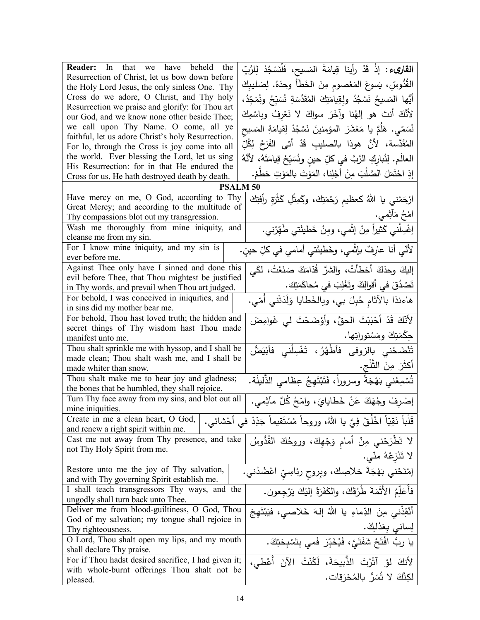| <b>Reader:</b> In that we have beheld the                                                            | ا <b>لقارىء :</b> إذْ قَدْ رأينا قِيامَةَ المَسيح، فَلْنَسْجُدْ لِلرَّبِّ        |
|------------------------------------------------------------------------------------------------------|----------------------------------------------------------------------------------|
| Resurrection of Christ, let us bow down before                                                       |                                                                                  |
| the Holy Lord Jesus, the only sinless One. Thy                                                       | القُدُّوسِّ، يَسوعَ المَعْصومِ مِنَ الخَطَأَ وحدَهُ. لِصَليبِكَ                  |
| Cross do we adore, O Christ, and Thy holy                                                            | أَيُّها المَسيحُ نَسْجُدُ ولقِيامَتِكَ المُقَدَّسَةِ نُسَبِّحُ ونُمَجِّدُ،       |
| Resurrection we praise and glorify: for Thou art                                                     | لأَنَّكَ أَنتَ هو إلهُنا وآخَرَ سواكَ لا نَعْرِفُ وبِاسْمِكَ                     |
| our God, and we know none other beside Thee;                                                         |                                                                                  |
| we call upon Thy Name. O come, all ye                                                                | نُسَمّى. هَلَمَّ يا مَعْشَرَ  المؤمنينَ نَسْجُدْ لِقيامَةِ المَسيح               |
| faithful, let us adore Christ's holy Resurrection.<br>For lo, through the Cross is joy come into all | المُقَدَّسة، لأَنَّ هوذا بالصليبِ قَدْ أَتى الفَرَحُ لِكُلِّ                     |
| the world. Ever blessing the Lord, let us sing                                                       |                                                                                  |
| His Resurrection: for in that He endured the                                                         | العالَم. لِنُبارِكِ الرَّبَّ في كلِّ حينٍ ونُسَبِّحْ قِيامَتَهُ، لأَنَّهُ        |
| Cross for us, He hath destroyed death by death.                                                      | إِذِ احْتَمَلَ الصَّلْبَ مِنْ أَجْلِنا، المَوْتَ بالمَوْتِ حَطِّمْ.              |
|                                                                                                      | <b>PSALM 50</b>                                                                  |
| Have mercy on me, O God, according to Thy                                                            | ارْحَمْني يا اللهُ كعظيمِ رَحْمَتِكَ، وكَمِثْلِ كَثْرَةِ رأفتِكَ                 |
| Great Mercy; and according to the multitude of                                                       |                                                                                  |
| Thy compassions blot out my transgression.                                                           | امْحُ مَأْثِمي.                                                                  |
| Wash me thoroughly from mine iniquity, and                                                           | إغْسِلْني كَثْيراً مِنْ إثْمي، ومِنْ خَطْيئَتي طَهَّرْني.                        |
| cleanse me from my sin.                                                                              |                                                                                  |
| For I know mine iniquity, and my sin is                                                              | لأنِّي أنا عارِفٌ بإثْمي، وخَطيئَتي أمامي في كلِّ حينِ.                          |
| ever before me.                                                                                      |                                                                                  |
| Against Thee only have I sinned and done this                                                        | إليكَ وحدَكَ أخطأتُ، والشرَّ قُدّامَكَ صَنَعْتُ، لكَي                            |
| evil before Thee, that Thou mightest be justified                                                    | تَصْدُقَ في أقوالِكَ وتَغْلِبَ في مُحاكَمَتِك.                                   |
| in Thy words, and prevail when Thou art judged.                                                      |                                                                                  |
| For behold, I was conceived in iniquities, and                                                       | هاءنذا بالآثام حُبِلَ بي، وبالخَطايا وَلَدَتْني أُمّي.                           |
| in sins did my mother bear me.<br>For behold, Thou hast loved truth; the hidden and                  |                                                                                  |
| secret things of Thy wisdom hast Thou made                                                           | لأَنَّكَ قَدْ أَحْبَبْتَ الحقَّ، وأَوْضَحْتَ لَي غَوامِضَ                        |
| manifest unto me.                                                                                    | جِكْمَتِكَ ومَسْتوراتِها.                                                        |
| Thou shalt sprinkle me with hyssop, and I shall be                                                   | تَنْضَحُني بالزوفى فأطْهُرُ ، تَغْسِلُني فأبْيَض <i>ُ</i>                        |
| made clean; Thou shalt wash me, and I shall be                                                       |                                                                                  |
| made whiter than snow.                                                                               | أكثَرَ مِنَ الثَّلْجِ.                                                           |
| Thou shalt make me to hear joy and gladness;                                                         | تُسْمِعُني بَهْجَةً وسروراً، فَتَبْتَهِجُ عِظامي الذَّليلَة.                     |
| the bones that be humbled, they shall rejoice.                                                       |                                                                                  |
| Turn Thy face away from my sins, and blot out all                                                    | إِصْرِفْ وِجْهَكَ عَنْ خَطَايايَ، وامْحُ كُلَّ مآثِمي.                           |
| mine iniquities.                                                                                     |                                                                                  |
| Create in me a clean heart, O God,                                                                   | قَلْباً نَقِيّاً اخْلُقْ فِيَّ يا اللهُ، وروحاً مُسْتَقيماً جَدِّدْ في أَحْشائي. |
| and renew a right spirit within me.                                                                  |                                                                                  |
| Cast me not away from Thy presence, and take                                                         | لا تَطْرَحْني مِنْ أمام وَجْهِكَ، وروحُكَ القُدُّوسُ                             |
| not Thy Holy Spirit from me.                                                                         | لا تَنْزِعْهُ منّي.                                                              |
| Restore unto me the joy of Thy salvation,                                                            |                                                                                  |
| and with Thy governing Spirit establish me.                                                          | إمْنَحْني بَهْجَةَ خلاصِكَ، وبِروحِ رِئاسِيِّ اعْضُدْني.                         |
| I shall teach transgressors Thy ways, and the                                                        | فأُعَلِّمُ الأَثَمَةَ طُرُقَكَ، والكَفَرَةُ إليْكَ يَرْجعون.                     |
| ungodly shall turn back unto Thee.                                                                   |                                                                                  |
| Deliver me from blood-guiltiness, O God, Thou                                                        | أَنْقِذْني مِنَ الدِّماءِ يا اللهُ إِلهَ خَلاصي، فيَبْتَهِجَ                     |
| God of my salvation; my tongue shall rejoice in                                                      |                                                                                  |
| Thy righteousness.                                                                                   | لِساني بِعَدْلِكَ.                                                               |
| O Lord, Thou shalt open my lips, and my mouth                                                        | يا رِبُّ افْتَحْ شَفَتَىَّ، فَيُخَبِّرَ فَمى بِتَسْبِحَتِكَ.                     |
| shall declare Thy praise.                                                                            |                                                                                  |
| For if Thou hadst desired sacrifice, I had given it;                                                 | لأَنكَ لَوْ آثَرْتَ الذَّبيحَةَ، لَكُنْتُ الآنَ أَعْطي،                          |
| with whole-burnt offerings Thou shalt not be                                                         | لكِنَّكَ لا تُسَرُّ بالمُحْرَقات.                                                |
| pleased.                                                                                             |                                                                                  |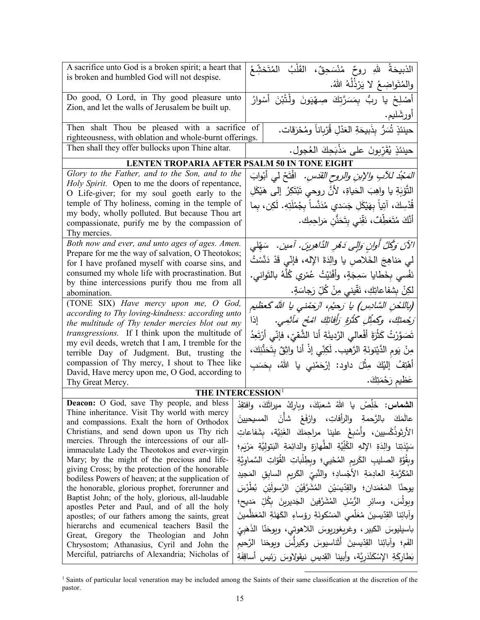| A sacrifice unto God is a broken spirit; a heart that<br>is broken and humbled God will not despise.      | الذبيحَةُ للهِ روحٌ مُنْسَحِقٌ، القَلْبُ المُتَحْشِّعُ                               |  |  |  |  |
|-----------------------------------------------------------------------------------------------------------|--------------------------------------------------------------------------------------|--|--|--|--|
|                                                                                                           | والمُتَواضِعُ لا يَرْذُلُهُ اللهُ.                                                   |  |  |  |  |
| Do good, O Lord, in Thy good pleasure unto                                                                | أَصْلِحْ يا ربُّ بِمَسَرَّتِكَ صِهْيَونَ ولْمَتْبْنَ أَسْوارُ                        |  |  |  |  |
| Zion, and let the walls of Jerusalem be built up.                                                         | أورشَليم.                                                                            |  |  |  |  |
| Then shalt Thou be pleased with a sacrifice of<br>righteousness, with oblation and whole-burnt offerings. | حينئذٍ تُسَرُّ بذَبيحَةِ العَدْلِ قُرْبِاناً ومُحْرَقات.                             |  |  |  |  |
| Then shall they offer bullocks upon Thine altar.                                                          | حينئذٍ يُقَرِّبونَ على مَذْبَحِكَ العُجول.                                           |  |  |  |  |
|                                                                                                           | LENTEN TROPARIA AFTER PSALM 50 IN TONE EIGHT                                         |  |  |  |  |
| Glory to the Father, and to the Son, and to the                                                           | <i>المَعْبُد للآبِ والإبنِ والروح القدَسِ.</i> افْتَحْ لي أبْوابَ                    |  |  |  |  |
| Holy Spirit. Open to me the doors of repentance,<br>O Life-giver; for my soul goeth early to the          | التَّوْبَةِ يا واهِبَ الحَياةِ، لأنَّ روحي تَبْتَكِرُ إلى هَيْكَلِ                   |  |  |  |  |
| temple of Thy holiness, coming in the temple of                                                           | قُدْسِكَ، آتِياً بِهَيْكَلِ جَسَدي مُدَنَّساً بِجُمْلَتِهِ. لَكِن، بِما              |  |  |  |  |
| my body, wholly polluted. But because Thou art                                                            |                                                                                      |  |  |  |  |
| compassionate, purify me by the compassion of                                                             | أَنَّكَ مُتَعَطِّفٌ، نَقِّني بِتَحَنُّنِ مَراحِمِك.                                  |  |  |  |  |
| Thy mercies.                                                                                              |                                                                                      |  |  |  |  |
| Both now and ever, and unto ages of ages. Amen.<br>Prepare for me the way of salvation, O Theotokos;      | الآنَ وَكُلَّ أُوانٍ وَإِلَى دَهْرِ الدَّاهِرِينَ. آمين.  سَقِلي                     |  |  |  |  |
| for I have profaned myself with coarse sins, and                                                          | لى مَناهِجَ الْخَلاصِ يا والِدَةَ الإِله، فإنّي قَدْ دَنَّسْتُ                       |  |  |  |  |
| consumed my whole life with procrastination. But                                                          | نَفْسي بِخَطايا سَمِجَةٍ، وأَفْنَيْتُ عُمْرِي كُلَّهُ بالتَواني.                     |  |  |  |  |
| by thine intercessions purify thou me from all                                                            | لكِنْ بِشفاعاتِكِ، نَقّيني مِنْ كُلِّ رَجاسَةٍ.                                      |  |  |  |  |
| abomination.<br>(TONE SIX) Have mercy upon me, O God,                                                     |                                                                                      |  |  |  |  |
| according to Thy loving-kindness: according unto                                                          | (باللحن السَّادِس) يا رَحيُم، ارْحَمْني يا الله كَعظيم                               |  |  |  |  |
| the multitude of Thy tender mercies blot out my                                                           | رَجْمِتِكَ، وكَمِثْلِ كَثْرَةِ رَأَفَاتِكَ امْحُ مَأْثِمِي.<br>إذا                   |  |  |  |  |
| transgressions. If I think upon the multitude of                                                          | نَصَوَّرْتُ كَثْرَةَ أَفْعالي الرَّديئَةِ أنا الشَّقيِّ، فإنّي أرْتَعِدُ             |  |  |  |  |
| my evil deeds, wretch that I am, I tremble for the                                                        | مِنْ يَومِ الدَّيْنونَةِ الرَّهِيبِ. لَكِنِّي إِذْ أَنا واثِقٌ بِتَحَنُّنِكَ،        |  |  |  |  |
| terrible Day of Judgment. But, trusting the<br>compassion of Thy mercy, I shout to Thee like              |                                                                                      |  |  |  |  |
| David, Have mercy upon me, O God, according to                                                            | أَهْتِفُ إِلَيْكَ مِثْلَ داود: إرْحَمْنِي يا اللهُ، بِحَسَبِ                         |  |  |  |  |
| Thy Great Mercy.                                                                                          | عَظْيم رَحْمَتِكَ.                                                                   |  |  |  |  |
|                                                                                                           | THE INTERCESSION <sup>1</sup>                                                        |  |  |  |  |
| Deacon: O God, save Thy people, and bless<br>Thine inheritance. Visit Thy world with mercy                | ا <b>لشماس:</b> خَلِّصْ يا اللهُ شعبَكَ، وباركْ ميراثَكَ، وافتقِدْ                   |  |  |  |  |
| and compassions. Exalt the horn of Orthodox                                                               | عالَمَكَ بالرَّحمةِ والرأفاتِ، وارْفَعْ شأنَ المسيحيينَ                              |  |  |  |  |
| Christians, and send down upon us Thy rich                                                                | الأرثوذَكْسيين، وأَسْبِغْ علينا مراحِمَكَ الغَنِيَّة، بِشَفاعاتِ                     |  |  |  |  |
| mercies. Through the intercessions of our all-                                                            | سَيّدَتِنا والِدَةِ الإِلهِ الكُلِّيّةِ الطّهارَةِ والدائِمَةِ البَتوليَّةِ مَرْبَم؛ |  |  |  |  |
| immaculate Lady the Theotokos and ever-virgin<br>Mary; by the might of the precious and life-             | وبِقُوَّةِ الصليبِ الكَريمِ المُحْيى؛ وبِطِلْباتِ القُوّاتِ السَّماوِيَّةِ           |  |  |  |  |
| giving Cross; by the protection of the honorable                                                          | المُكَرَّمَةِ العادِمَةِ الأجْسادِ؛ والنَّبيِّ الكَريمِ السابِقِ المَجيدِ            |  |  |  |  |
| bodiless Powers of heaven; at the supplication of                                                         |                                                                                      |  |  |  |  |
| the honorable, glorious prophet, forerunner and<br>Baptist John; of the holy, glorious, all-laudable      | يوحنّا المَعْمَدان؛ والقِدّيسَيْن المُشَرَّفَيْن الرَّسولَيْن بُطْرُسَ               |  |  |  |  |
| apostles Peter and Paul, and of all the holy                                                              | وبولُسَ، وسائِر الرُّسُلِ المُشَرَّفينَ الْجَديرينَ بِكُلِّ مَديح؛                   |  |  |  |  |
| apostles; of our fathers among the saints, great                                                          | وأبائِنا القِدّيسينَ مُعَلَّمي المَسْكونَةِ رؤساءِ الكَهَنَةِ المُعَظَّمينَ          |  |  |  |  |
| hierarchs and ecumenical teachers Basil the<br>Great, Gregory the Theologian and John                     | باسيليوسَ الكبيرِ، وغريغوريوسَ اللاهوتي، ويوحَنّا الذَهَبيّ                          |  |  |  |  |
| Chrysostom; Athanasius, Cyril and John the                                                                | الفَم؛ وآبائِنا القِدّيسينَ أَثَناسيوسَ وكيرلِّسَ ويوحَنا الرَّحيم                   |  |  |  |  |
| Merciful, patriarchs of Alexandria; Nicholas of                                                           | بَطارِكَةِ الإِسْكَنْدَرِيَّة، وأبينا القِديسِ نيقولِاوسَ رَئِيسِ أساقِفَةِ          |  |  |  |  |
|                                                                                                           |                                                                                      |  |  |  |  |

<span id="page-14-0"></span><sup>&</sup>lt;sup>1</sup> Saints of particular local veneration may be included among the Saints of their same classification at the discretion of the pastor.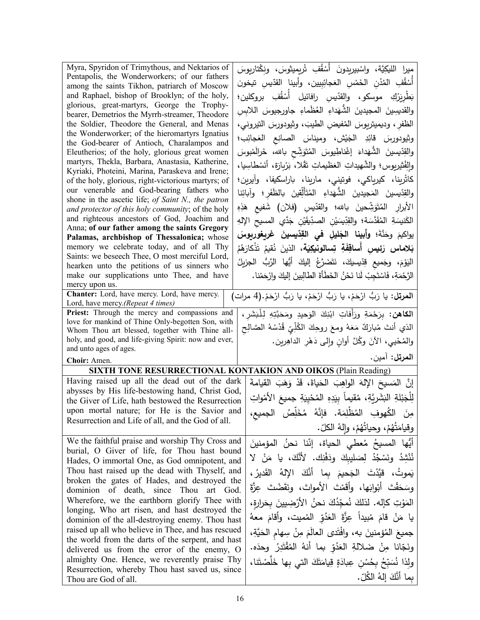| Myra, Spyridon of Trimythous, and Nektarios of<br>Pentapolis, the Wonderworkers; of our fathers<br>among the saints Tikhon, patriarch of Moscow<br>and Raphael, bishop of Brooklyn; of the holy,<br>glorious, great-martyrs, George the Trophy-<br>bearer, Demetrios the Myrrh-streamer, Theodore<br>the Soldier, Theodore the General, and Menas<br>the Wonderworker; of the hieromartyrs Ignatius<br>the God-bearer of Antioch, Charalampos and<br>Eleutherios; of the holy, glorious great women<br>martyrs, Thekla, Barbara, Anastasia, Katherine,<br>Kyriaki, Photeini, Marina, Paraskeva and Irene;<br>of the holy, glorious, right-victorious martyrs; of<br>our venerable and God-bearing fathers who<br>shone in the ascetic life; of Saint N., the patron<br>and protector of this holy community; of the holy<br>and righteous ancestors of God, Joachim and<br>Anna; of our father among the saints Gregory<br>Palamas, archbishop of Thessalonica; whose<br>memory we celebrate today, and of all Thy<br>Saints: we beseech Thee, O most merciful Lord,<br>hearken unto the petitions of us sinners who<br>make our supplications unto Thee, and have<br>mercy upon us.<br>Chanter: Lord, have mercy. Lord, have mercy.<br>Lord, have mercy.(Repeat 4 times)<br>Priest: Through the mercy and compassions and | ميرا الليكِيَّة، واسْبيربدونَ أَسْقُفِ تْرِميثوسَ، ونكْتاربوسَ<br>أَسْقُفِ المُدُنِ الخَمْسِ العَجائِبِيين، وأبينا القدّيسِ تيخون<br>بَطْرِيَرْكِ موسكو، والقدّيسِ رافائيل أَسْقُفِ بروكلين؛<br>والقديسِينَ المجيدينَ الشَّهَداءِ العُظَماءِ جاورجيوسَ اللابِسِ<br>الظفر ، وديميتريوسَ المُفيضِ الطيبَ، وثيودورسَ التيروني،<br>وثيودورسَ قائِدِ الْجَيْش، وميناسَ الصانِعِ الْعَجائِبِ؛<br>والقِدّيسينَ الشَّهَداءَ إغْناطِيوسَ المُتَوَشِّح بالله، خَرالَمْبوسَ<br>والِفْثيريوس؛ والشَّهيداتِ العَظيماتِ تَقْلا، بَرْبِارَة، أَنَسْطَاسِيا،<br>كاثْرينا، كيرياكي، فوتيني، مارينا، باراسكيفا، وآيرين؛<br>والقِدّيسينَ المَجيدينَ الشُّهَداءِ المُتَأَلِّقِينَ بالظَفَرِ؛ وآبائِنا<br>الأبرارِ المُتَوَشِّحينَ بالله؛ والقدّيسِ (فلان) شَفيع هَذِهِ<br>الكَنيسَةِ المُقَدَّسَة؛ والقِدِّيسَيْنِ الصدِّيقَيْنِ جَدَّي المسيحِ الإِلهِ<br>يواكيمَ وحَنَّةَ؛ وأبينا الجَليلِ في القِدِّيسينَ غريغوريوسَ<br>بَلاماس رَئِيسِ أَساقِفَةِ تِسالونيكِيَة، الذينَ نُقيمُ تَذْكارَهُمُ<br>اليَوْمَ، وجَميع قِدّيسيكَ، نَتَضَرَّعُ إِليكَ أَيُّها الرَّبُّ الجزيلُ<br>الرَّحْمَةِ، فَاسْتَجِبْ لَنا نَحْنُ الخَطَأَةَ الطالِبِينَ إليكَ وارْحَمْنا.<br>ا <b>لمرتل:</b> يا رَبُّ ارْحَمْ، يا رَبُّ ارْحَمْ، يا رَبُّ ارْحَمْ.(4 مرات)<br>ا <b>لكاهن:</b> بِرَحْمَةِ ورَأَفاتِ ابْنِكَ الوَحيدِ ومَحَبَّتِهِ لِلْبَشَرِ ، |
|----------------------------------------------------------------------------------------------------------------------------------------------------------------------------------------------------------------------------------------------------------------------------------------------------------------------------------------------------------------------------------------------------------------------------------------------------------------------------------------------------------------------------------------------------------------------------------------------------------------------------------------------------------------------------------------------------------------------------------------------------------------------------------------------------------------------------------------------------------------------------------------------------------------------------------------------------------------------------------------------------------------------------------------------------------------------------------------------------------------------------------------------------------------------------------------------------------------------------------------------------------------------------------------------------------------------------|-------------------------------------------------------------------------------------------------------------------------------------------------------------------------------------------------------------------------------------------------------------------------------------------------------------------------------------------------------------------------------------------------------------------------------------------------------------------------------------------------------------------------------------------------------------------------------------------------------------------------------------------------------------------------------------------------------------------------------------------------------------------------------------------------------------------------------------------------------------------------------------------------------------------------------------------------------------------------------------------------------------------------------------------------------------------------------------------------------------------------------------------------------------------------------------------------------------------------------------------------------------------------------------------------------------|
| love for mankind of Thine Only-begotten Son, with<br>Whom Thou art blessed, together with Thine all-                                                                                                                                                                                                                                                                                                                                                                                                                                                                                                                                                                                                                                                                                                                                                                                                                                                                                                                                                                                                                                                                                                                                                                                                                       | الذي أنتَ مُبارَكٌ مَعَهُ ومعَ روحِكَ الكُلِّيِّ قُدْسُهُ الصَّالِحِ                                                                                                                                                                                                                                                                                                                                                                                                                                                                                                                                                                                                                                                                                                                                                                                                                                                                                                                                                                                                                                                                                                                                                                                                                                        |
| holy, and good, and life-giving Spirit: now and ever,<br>and unto ages of ages.                                                                                                                                                                                                                                                                                                                                                                                                                                                                                                                                                                                                                                                                                                                                                                                                                                                                                                                                                                                                                                                                                                                                                                                                                                            | والمُحْيي، الآنَ وكُلَّ أُوانِ وإِلَى دَهْرِ الداهِرين.                                                                                                                                                                                                                                                                                                                                                                                                                                                                                                                                                                                                                                                                                                                                                                                                                                                                                                                                                                                                                                                                                                                                                                                                                                                     |
| Choir: Amen.                                                                                                                                                                                                                                                                                                                                                                                                                                                                                                                                                                                                                                                                                                                                                                                                                                                                                                                                                                                                                                                                                                                                                                                                                                                                                                               | ا <b>لمرتل:</b> آمين.                                                                                                                                                                                                                                                                                                                                                                                                                                                                                                                                                                                                                                                                                                                                                                                                                                                                                                                                                                                                                                                                                                                                                                                                                                                                                       |
|                                                                                                                                                                                                                                                                                                                                                                                                                                                                                                                                                                                                                                                                                                                                                                                                                                                                                                                                                                                                                                                                                                                                                                                                                                                                                                                            | <b>SIXTH TONE RESURRECTIONAL KONTAKION AND OIKOS (Plain Reading)</b>                                                                                                                                                                                                                                                                                                                                                                                                                                                                                                                                                                                                                                                                                                                                                                                                                                                                                                                                                                                                                                                                                                                                                                                                                                        |
| Having raised up all the dead out of the dark<br>abysses by His life-bestowing hand, Christ God,                                                                                                                                                                                                                                                                                                                                                                                                                                                                                                                                                                                                                                                                                                                                                                                                                                                                                                                                                                                                                                                                                                                                                                                                                           | إِنَّ المَسيحَ الإِلهَ الواهِبَ الحَياةَ، قَدْ وَهَبَ القيامةَ                                                                                                                                                                                                                                                                                                                                                                                                                                                                                                                                                                                                                                                                                                                                                                                                                                                                                                                                                                                                                                                                                                                                                                                                                                              |
| the Giver of Life, hath bestowed the Resurrection                                                                                                                                                                                                                                                                                                                                                                                                                                                                                                                                                                                                                                                                                                                                                                                                                                                                                                                                                                                                                                                                                                                                                                                                                                                                          | لِلْجَبْلةِ البَشَرِيَّةِ، مُقيماً بيَدِهِ المُحْيِيَةِ جميعَ الأَمْواتِ                                                                                                                                                                                                                                                                                                                                                                                                                                                                                                                                                                                                                                                                                                                                                                                                                                                                                                                                                                                                                                                                                                                                                                                                                                    |
| upon mortal nature; for He is the Savior and                                                                                                                                                                                                                                                                                                                                                                                                                                                                                                                                                                                                                                                                                                                                                                                                                                                                                                                                                                                                                                                                                                                                                                                                                                                                               | مِنَ الكُهوفِ المُظْلِمَة. فإنَّهُ مُخَلِّصُ الجميع،                                                                                                                                                                                                                                                                                                                                                                                                                                                                                                                                                                                                                                                                                                                                                                                                                                                                                                                                                                                                                                                                                                                                                                                                                                                        |
| Resurrection and Life of all, and the God of all.                                                                                                                                                                                                                                                                                                                                                                                                                                                                                                                                                                                                                                                                                                                                                                                                                                                                                                                                                                                                                                                                                                                                                                                                                                                                          | وقيامَتُهُمْ، وحياتُهُمْ، وإِلهُ الكلّ.                                                                                                                                                                                                                                                                                                                                                                                                                                                                                                                                                                                                                                                                                                                                                                                                                                                                                                                                                                                                                                                                                                                                                                                                                                                                     |
| We the faithful praise and worship Thy Cross and<br>burial, O Giver of life, for Thou hast bound<br>Hades, O immortal One, as God omnipotent, and<br>Thou hast raised up the dead with Thyself, and<br>broken the gates of Hades, and destroyed the<br>dominion of death, since<br>Thou<br>art God.<br>Wherefore, we the earthborn glorify Thee with<br>longing, Who art risen, and hast destroyed the<br>dominion of the all-destroying enemy. Thou hast<br>raised up all who believe in Thee, and has rescued<br>the world from the darts of the serpent, and hast<br>delivered us from the error of the enemy, O<br>almighty One. Hence, we reverently praise Thy<br>Resurrection, whereby Thou hast saved us, since<br>Thou are God of all.                                                                                                                                                                                                                                                                                                                                                                                                                                                                                                                                                                            | أَيُّها المسيحُ مُعطي الحياة، إنّنا نحنُ المؤمنينَ<br>نُنْشِدُ ونَسْجُدُ لِصَليبِكَ ودَفْنِك. لأَنَّكَ، يا مَنْ لا<br>يَموتُ، قيَّدْتَ الْجَحيمَ بما أَنَّكَ الإِلهُ القَديرُ،<br>وسَحَقْتَ أَبْوابَها، وأَقَمْتَ الأَمواتَ، ونَقَضْتَ عِزَّةَ<br>المَوْتِ كالِه. لذلكَ نُمجِّدُكَ نحنُ الأَرْضِيينَ بحَرارةِ،<br>يا مَنْ قامَ مُبيداً عِزَّةَ العَدُوّ المُميت، وأقامَ معهُ<br>جميعَ المُؤمِنينَ به، وافْتَدى العالَمَ مِنْ سِهامِ الحَيَّةِ،<br>ونَجّانا مِنْ ضَلالةِ العَدُوّ بما أنهُ المُقْتَدِرُ ۖ وحدَه.<br>ولذا نُسَبِّحُ بِحُسْنٍ عِبادَةٍ قِيامَتَكَ التي بِها خَلَّصْتَنا،<br>بما أَنَّكَ إِلهُ الْكُلِّ.                                                                                                                                                                                                                                                                                                                                                                                                                                                                                                                                                                                                                                                                                        |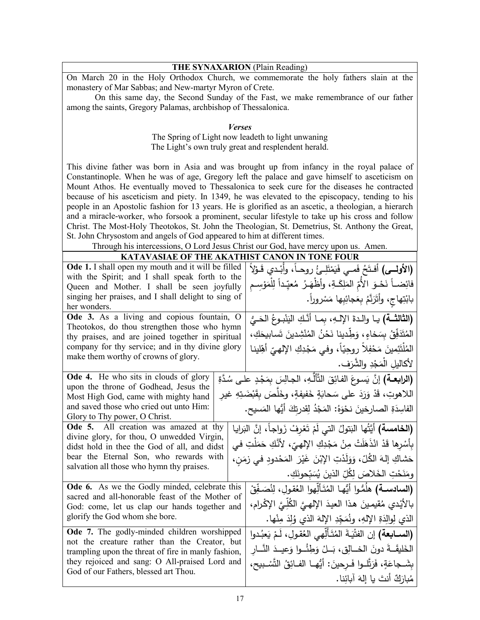## **THE SYNAXARION** (Plain Reading)

On March 20 in the Holy Orthodox Church, we commemorate the holy fathers slain at the monastery of Mar Sabbas; and New-martyr Myron of Crete.

On this same day, the Second Sunday of the Fast, we make remembrance of our father among the saints, Gregory Palamas, archbishop of Thessalonica.

*Verses*

The Spring of Light now leadeth to light unwaning The Light's own truly great and resplendent herald.

This divine father was born in Asia and was brought up from infancy in the royal palace of Constantinople. When he was of age, Gregory left the palace and gave himself to asceticism on Mount Athos. He eventually moved to Thessalonica to seek cure for the diseases he contracted because of his asceticism and piety. In 1349, he was elevated to the episcopacy, tending to his people in an Apostolic fashion for 13 years. He is glorified as an ascetic, a theologian, a hierarch and a miracle-worker, who forsook a prominent, secular lifestyle to take up his cross and follow Christ. The Most-Holy Theotokos, St. John the Theologian, St. Demetrius, St. Anthony the Great, St. John Chrysostom and angels of God appeared to him at different times.

Through his intercessions, O Lord Jesus Christ our God, have mercy upon us. Amen.

**KATAVASIAE OF THE AKATHIST CANON IN TONE FOUR**

| KATA VASIAE OP THE AKATHIST CAROR IN TONE FOUR                                                   |                                                                                        |  |  |  |
|--------------------------------------------------------------------------------------------------|----------------------------------------------------------------------------------------|--|--|--|
| <b>Ode 1.</b> I shall open my mouth and it will be filled                                        | (الأولــي) أَفتَحُ فَمــي فَيَمْتَلِـئُ روحـاً، وأَبْـدي قَـوْلاً                      |  |  |  |
| with the Spirit; and I shall speak forth to the                                                  | فائِضــاً نَحْـوَ الأُمِّ المَلِكَــةِ، وأظْهَـرُ مُعيِّـداً لِلْمَوْسِـمِ             |  |  |  |
| Queen and Mother. I shall be seen joyfully                                                       | بابْتِهاجِ، وأَتَرَنَّهُ بِعَجائِبِها مَسْروراً.                                       |  |  |  |
| singing her praises, and I shall delight to sing of<br>her wonders.                              |                                                                                        |  |  |  |
| Ode 3. As a living and copious fountain, O                                                       |                                                                                        |  |  |  |
| Theotokos, do thou strengthen those who hymn                                                     | (الثالثـــة) يــا والـدة الإلــهِ، بمــا أنَّـكِ اليَنْبـوعُ الحَــيُ                  |  |  |  |
| thy praises, and are joined together in spiritual                                                | المُتَدَفِّقُ بِسَخاءٍ ، وَطِّدينا نَحْنُ المُنْشِدينَ تَسابيحَكِ،                     |  |  |  |
| company for thy service; and in thy divine glory                                                 | المُلْتَئِمينَ مَحْفِلاً روحِيّاً، وفي مَجْدِكِ الإلهيّ أَهِّلينا                      |  |  |  |
| make them worthy of crowns of glory.                                                             | لأكاليلِ الْمَجْدِ والشَّرَف.                                                          |  |  |  |
| Ode 4. He who sits in clouds of glory                                                            | <b>(الرابعــة)</b> إنَّ يَسوعَ الفائِقَ التَّأَلِّـهِ، الجـالِسَ بِمَجْدٍ علـى سُدَّةِ |  |  |  |
| upon the throne of Godhead, Jesus the                                                            | اللاهوتِ، قَدْ وَرَدَ على سَحابَةٍ خَفيفةٍ، وخَلَصَ بِقَبْضَتِهِ غيرِ                  |  |  |  |
| Most High God, came with mighty hand                                                             |                                                                                        |  |  |  |
| and saved those who cried out unto Him:<br>Glory to Thy power, O Christ.                         | الفاسِدَةِ الصـارخينَ نـحْوَهُ: المَجْدُ لِقدرتكَ أَيُّها المَسيح.                     |  |  |  |
| Ode 5. All creation was amazed at thy                                                            | (الخامسة) أَيَّتُها البَتولُ التي لَمْ تَعْرِفْ زَواجاً، إنَّ البَرايا                 |  |  |  |
| divine glory, for thou, O unwedded Virgin,                                                       | بِأَسْرِها قَدْ انْذَهَلَتْ مِنْ مَجْدِكِ الإِلهيِّ، لأَنَّكِ حَمَلْتِ في              |  |  |  |
| didst hold in thee the God of all, and didst                                                     |                                                                                        |  |  |  |
| bear the Eternal Son, who rewards with<br>salvation all those who hymn thy praises.              | حَشاكِ إلهَ الكُلِّ، وَوَلَدْتِ الإِبْنَ غَيْرَ المَحْدودِ في زمَن،                    |  |  |  |
|                                                                                                  | ومَنَحْتِ الخَلاصَ لِكُلِّ الذينَ يُسَبّحونَكِ.                                        |  |  |  |
| Ode 6. As we the Godly minded, celebrate this                                                    | (ال <b>سادســة)</b> هلُسُّوا أيُّهـا المُتَأَلِّهوا العُقولِ، لِنُصَفِّقْ              |  |  |  |
| sacred and all-honorable feast of the Mother of<br>God: come, let us clap our hands together and | بالأَيْدي مُقيمينَ هذا العيدَ الإِلهيَّ الكُلِّيِّ الإِكْرامِ،                         |  |  |  |
| glorify the God whom she bore.                                                                   | الذي لِوالِدَةِ الإِلهِ، ونُمَجِّدِ الإِلهَ الذي وُلِدَ مِنْها.                        |  |  |  |
| Ode 7. The godly-minded children worshipped                                                      |                                                                                        |  |  |  |
| not the creature rather than the Creator, but                                                    | (ا <b>لســابـعة)</b> إن الفتْيَـةَ المُتَـأَلِّهـى الـعُقـولِ، لَـمْ يَعبُـدوا         |  |  |  |
| trampling upon the threat of fire in manly fashion,                                              | الخَليقَــةَ دونَ الخـــالِقِ، بَــلْ وَطِئُــوا وَعيــدَ النَّـــار                   |  |  |  |
| they rejoiced and sang: O All-praised Lord and                                                   | بِشَــجاعَةٍ، فَرَتَّلــوا فَــرحينَ: أَيُّهــا الفــائِقُ النَّسْــبيح،               |  |  |  |
| God of our Fathers, blessed art Thou.                                                            | مُبارَكٌ أنتَ يا إلهَ آبائِنا.                                                         |  |  |  |
|                                                                                                  |                                                                                        |  |  |  |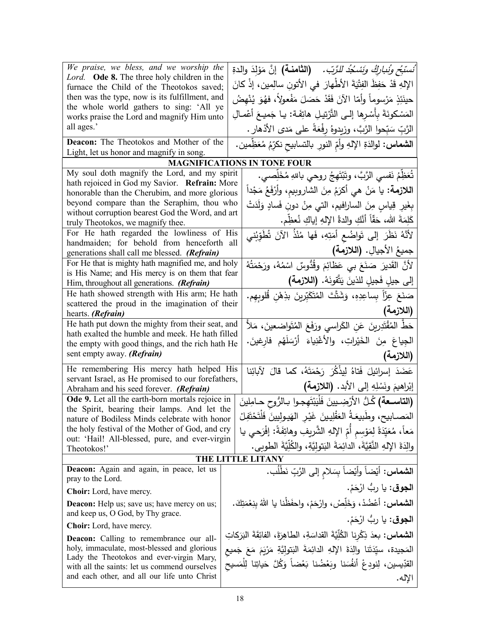| We praise, we bless, and we worship the<br>Lord. Ode 8. The three holy children in the           |                                                                          | ُ <i>نَستَبِحْ وِنُنبارِكُ وَنَسْـُجُدُ للرَّبّ.</i> (ا <b>لثامنـة)</b> إنَّ مَوْلدَ والدةِ |  |  |  |
|--------------------------------------------------------------------------------------------------|--------------------------------------------------------------------------|---------------------------------------------------------------------------------------------|--|--|--|
| furnace the Child of the Theotokos saved;                                                        | الإِلهِ قَدْ حَفِظَ الفِتْيَةَ الأَطْهارَ في الأَتونِ سالِمينِ، إذْ كانَ |                                                                                             |  |  |  |
| then was the type, now is its fulfillment, and                                                   |                                                                          | حينَئِذٍ مَرْسوماً وأمّا الآنَ فَقَدْ حَصَلَ مَفْعولاً، فهُوَ يُنْهِضُ                      |  |  |  |
| the whole world gathers to sing: 'All ye<br>works praise the Lord and magnify Him unto           |                                                                          | المَسْكونَةَ بِأَسْرِها إِلـى التَّرْتِيلِ هاتِفَة: يـا جَميـعَ أَعْمـالِ                   |  |  |  |
| all ages.'                                                                                       |                                                                          | الرَّبِّ سَبِّحوا الرَّبَّ، وزيدوهُ رِفْعَةً على مَدى الأدْهار .                            |  |  |  |
| Deacon: The Theotokos and Mother of the                                                          |                                                                          | ا <b>لشماس:</b> لوالدَةِ الإلهِ وأمِّ النورِ بالتسابيح نكرِّمُ مُعَظِّمين.                  |  |  |  |
| Light, let us honor and magnify in song.                                                         |                                                                          |                                                                                             |  |  |  |
|                                                                                                  |                                                                          | <b>MAGNIFICATIONS IN TONE FOUR</b>                                                          |  |  |  |
| My soul doth magnify the Lord, and my spirit                                                     |                                                                          | تُعَظِّمُ نَفسي الرَّبَّ، وتَبْتَهِجُ روحي باللهِ مُخَلِصي.                                 |  |  |  |
| hath rejoiced in God my Savior. Refrain: More                                                    |                                                                          | ا <b>للازمة:</b> يا مَنْ هي أكرَمُ مِنَ الشاروبيم، وأَرْفَعُ مَجْداً                        |  |  |  |
| honorable than the Cherubim, and more glorious<br>beyond compare than the Seraphim, thou who     |                                                                          |                                                                                             |  |  |  |
| without corruption bearest God the Word, and art                                                 |                                                                          | بِغَيرِ قِياسٍ مِنَ السارافيم، التي مِنْ دونِ فَسادٍ وَلَدَتْ                               |  |  |  |
| truly Theotokos, we magnify thee.                                                                |                                                                          | كَلِمَةَ الله، حَقًّا أَنَّكِ والدةُ الإِلهِ إياكِ نُعظِّم.                                 |  |  |  |
| For He hath regarded the lowliness of His                                                        |                                                                          | لأَنَّهُ نَظَرَ إلى تَواضُعٍ أَمَتِهِ، فَها مُنْذُ الآنَ تُطَوِّبُني                        |  |  |  |
| handmaiden; for behold from henceforth all<br>generations shall call me blessed. (Refrain)       |                                                                          | جميعُ الأجيالِ. (اللازمة)                                                                   |  |  |  |
| For He that is mighty hath magnified me, and holy                                                |                                                                          | لأنَّ القَديرَ  صَنَعَ بي عَظائِمَ وقُدُّوسٌ  اسْمُهُ، ورَحْمَتُهُ                          |  |  |  |
| is His Name; and His mercy is on them that fear                                                  |                                                                          |                                                                                             |  |  |  |
| Him, throughout all generations. (Refrain)                                                       |                                                                          | إلى جيلٍ فَجيلٍ للذينَ يَتَّقونَهُ. <b>(اللازمة)</b>                                        |  |  |  |
| He hath showed strength with His arm; He hath<br>scattered the proud in the imagination of their |                                                                          | صَنَعَ عِزّاً بِساعِدِهِ، وَشَتَّتَ المُتَكَبِّرِينَ بذِهْنِ قُلوبِهِم.                     |  |  |  |
| hearts. (Refrain)                                                                                |                                                                          | (اللازمة)                                                                                   |  |  |  |
| He hath put down the mighty from their seat, and                                                 |                                                                          | حَطَّ المُقْتَدِرِينَ عَنِ الكَراسي ورَفَعَ المُتَواضعينَ، مَلأً                            |  |  |  |
| hath exalted the humble and meek. He hath filled                                                 |                                                                          | الجِياعَ مِنَ الخَيْراتِ، والأغْنِياءَ أَرْسَلَهُم فارِغينَ.                                |  |  |  |
| the empty with good things, and the rich hath He<br>sent empty away. (Refrain)                   |                                                                          |                                                                                             |  |  |  |
|                                                                                                  |                                                                          | (اللازمة)                                                                                   |  |  |  |
| He remembering His mercy hath helped His<br>servant Israel, as He promised to our forefathers,   |                                                                          | عَضَدَ إسرائيلَ فَتاهُ لِيذْكُرَ رَحْمَتَهُ، كما قالَ لآبائِنا                              |  |  |  |
| Abraham and his seed forever. (Refrain)                                                          |                                                                          | إبْراهيمَ ونَسْلِهِ إلى الأبد. (اللازمة)                                                    |  |  |  |
| Ode 9. Let all the earth-born mortals rejoice in                                                 |                                                                          | (ا <b>لتاســـعة)</b> كُـلُّ الأرْضِــيينَ فَلْيَبْتَهِجـوا بـالرُّوح حـامِلينَ              |  |  |  |
| the Spirit, bearing their lamps. And let the<br>nature of Bodiless Minds celebrate with honor    |                                                                          | المَصـابيح، وطَبيعَـةُ العَقْلِيـينَ غَيْـرِ الـهَيـولِيينَ فَلْتَحْتَفِلْ                  |  |  |  |
| the holy festival of the Mother of God, and cry                                                  |                                                                          | مَعاً، مُعَيِّدَةً لِمَوْسِمٍ أَمِّ الإِلهِ الشَّريفِ وهاتِفَةً: إفْرَحي يـا                |  |  |  |
| out: 'Hail! All-blessed, pure, and ever-virgin                                                   |                                                                          |                                                                                             |  |  |  |
| Theotokos!'                                                                                      |                                                                          | والِدَةَ الإِلهِ النَّقِيَّةَ، الدائِمَةَ البَتولِيَّةِ، والكُلِّيَّةَ الطوبي.              |  |  |  |
|                                                                                                  |                                                                          | THE LITTLE LITANY                                                                           |  |  |  |
| Deacon: Again and again, in peace, let us<br>pray to the Lord.                                   |                                                                          | ا <b>لشماس:</b> أيْضاً وأيْضاً بِسَلامِ إلى الرَّبِّ نَطْلَب.                               |  |  |  |
| Choir: Lord, have mercy.                                                                         |                                                                          | ا <b>لجوق</b> : يا ربُّ ارْحَمْ.                                                            |  |  |  |
| Deacon: Help us; save us; have mercy on us;<br>and keep us, O God, by Thy grace.                 |                                                                          | ا <b>لشماس:</b> أعْضُدْ، وَخَلِّصْ، وارْحَمْ، واحفَظْنا يا اللهُ بِنِعْمَتِكَ.              |  |  |  |
| <b>Choir:</b> Lord, have mercy.                                                                  |                                                                          | ا <b>لجوق</b> : يا ربُّ ارْحَمْ.                                                            |  |  |  |
| Deacon: Calling to remembrance our all-                                                          |                                                                          | ا <b>لشماس:</b> بعدَ ذِكْرِنا الكُلِّيَّةَ القداسَةِ، الطاهِرَةَ، الفائِقَةَ البَرَكاتِ     |  |  |  |
| holy, immaculate, most-blessed and glorious                                                      |                                                                          | المَجيدة، سيِّدَتَنا والِدَةَ الإِلهِ الدائِمَةَ البَتولِيَّةِ مَرْيَمَ مَعَ جَميع          |  |  |  |
| Lady the Theotokos and ever-virgin Mary,<br>with all the saints: let us commend ourselves        |                                                                          | القدِّيسين، لِنودِعْ أَنفُسَنا وبَعْضُنا بَعْضاً وَكُلَّ حَياتِنا لِلْمَسيح                 |  |  |  |
| and each other, and all our life unto Christ                                                     |                                                                          | الإله.                                                                                      |  |  |  |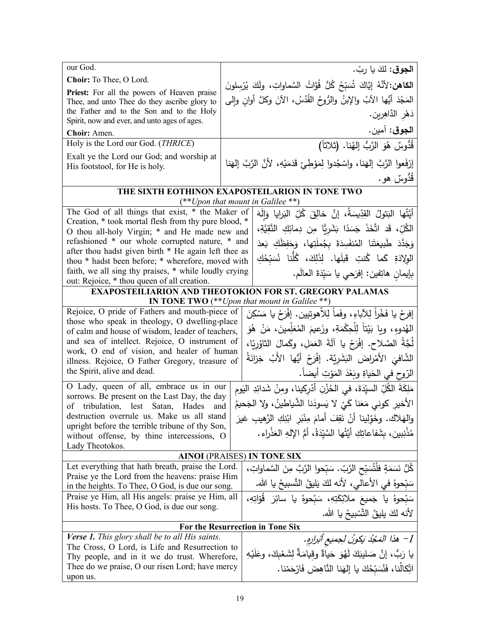| our God.                                                                                                  | ا <b>لجوق:</b> لكَ يا ربّ.                                                           |
|-----------------------------------------------------------------------------------------------------------|--------------------------------------------------------------------------------------|
| Choir: To Thee, O Lord.                                                                                   |                                                                                      |
| Priest: For all the powers of Heaven praise                                                               | الكاهن: لأنَّهُ إِيَّاكَ شُبَبِّحُ كُلُّ قُوَّاتُ السَّماواتِ، ولَكَ يُرْسِلونَ      |
| Thee, and unto Thee do they ascribe glory to                                                              | المَجْدَ أَيُّها الآبُ والإبنُ والرُّوحُ القُدُسُ، الآنَ وكلَّ أوانِ وإلى            |
| the Father and to the Son and to the Holy<br>Spirit, now and ever, and unto ages of ages.                 | دَهْرِ الدَّاهِرِينِ.                                                                |
| Choir: Amen.                                                                                              | ا <b>لجوق</b> : آمين.                                                                |
| Holy is the Lord our God. (THRICE)                                                                        | قُدُّوسٌ هُوَ الرَّبُّ إِلهُنا. (ثلاثاً)                                             |
| Exalt ye the Lord our God; and worship at                                                                 | إِرْفَعوا الرَّبَّ إِلهَنا، واسْجُدوا لِمَوْطِئٍ قَدَمَيْهِ، لأَنَّ الرَّبَّ إِلهَنا |
| His footstool, for He is holy.                                                                            |                                                                                      |
|                                                                                                           | قَدَّوسٌ هو.                                                                         |
|                                                                                                           | THE SIXTH EOTHINON EXAPOSTEILARION IN TONE TWO                                       |
| The God of all things that exist, * the Maker of                                                          | $(**Upon$ that mount in Galilee **)                                                  |
| Creation, * took mortal flesh from thy pure blood, *                                                      | أَيَّتُها البَتولُ القِدِّيسَةُ، إنَّ خالِقَ كُلِّ البَرايا وَالَهَ                  |
| O thou all-holy Virgin; * and He made new and                                                             | الْكُلِّ، قَد اتَّخَذَ جَسَدًا بَشَرِيًّا مِن دِمائِكِ النَّقِيَّةِ،                 |
| refashioned * our whole corrupted nature, * and                                                           | وَجَدَّدَ طَبِيعَتَنا المُنفَسِدَةَ بِجُملَتِها، وَحَفِظَكِ بَعدَ                    |
| after thou hadst given birth * He again left thee as<br>thou * hadst been before; * wherefore, moved with | الولِادَةِ كَما كُنتِ قَبلَها. لِذَلِكَ، كُلَّنا نُسَبّحُكِ                          |
| faith, we all sing thy praises, * while loudly crying                                                     |                                                                                      |
| out: Rejoice, * thou queen of all creation.                                                               | بِإِيمانِ هاتِفينِ: إفرَحي يا سَيِّدَةَ العالَمِ.                                    |
|                                                                                                           | <b>EXAPOSTEILIARION AND THEOTOKION FOR ST. GREGORY PALAMAS</b>                       |
|                                                                                                           | IN TONE TWO $(**Upon$ that mount in Galilee **)                                      |
| Rejoice, O pride of Fathers and mouth-piece of<br>those who speak in theology, O dwelling-place           | إفرخْ يا فَخْراً لِلْأَبَاءِ، وفَماً لِلأَهوتيين. إفْرَحْ يا مَسْكِنَ                |
| of calm and house of wisdom, leader of teachers,                                                          | الهُدوءِ، ويا بَيْتاً لِلْحِكْمَةِ، وزَعِيمَ المُعَلِّمينَ، مَنْ هُوَ                |
| and sea of intellect. Rejoice, O instrument of                                                            | لُجَّةُ الصَّلاحِ. إفْرَحْ يا آلَةَ العَمَلِ، وكَمالَ الثاوُريّا،                    |
| work, O end of vision, and healer of human                                                                |                                                                                      |
| illness. Rejoice, O Father Gregory, treasure of                                                           | الشَّافِيَ الأَمْراضَ البَشَرِيَّة. إِفْرَحْ أَيُّها الأَبُ خِزانَةُ                 |
| the Spirit, alive and dead.                                                                               | الرّوح في الحَياةِ وبَعْدَ المَوْتِ أيضاً.                                           |
| O Lady, queen of all, embrace us in our                                                                   | مَلِكَةَ الكُلِّ السيِّدَةَ، في الحُزْنِ أَدْرِكينا، ومِنْ شَدائِدِ اليَومِ          |
| sorrows. Be present on the Last Day, the day<br>of tribulation, lest Satan, Hades                         | الأخير كوني مَعَنا كَيْ لا يَسودَنا الشَّياطينُ، ولا الجَحيمُ<br>and                 |
| destruction overrule us. Make us all stand                                                                | والْهَلاكِ. وخَوّلِينا أَنْ نَقِفَ أَمامَ مِنْبَرِ ابْنِكِ الرَّهيبِ غيرَ            |
| upright before the terrible tribune of thy Son,                                                           | مُذْنِبِينِ، بشَفاعاتِكِ أَيَّتُها السَّيِّدَةُ، أَمُّ الإِلهِ العَذْراءِ.           |
| without offense, by thine intercessions, O                                                                |                                                                                      |
| Lady Theotokos.                                                                                           | <b>AINOI (PRAISES) IN TONE SIX</b>                                                   |
| Let everything that hath breath, praise the Lord.                                                         | كُلُّ نَسَمَةٍ فَلْثُسَبِّحِ الرَّبِّ. سَبِّحوا الرَّبَّ مِنَ السَّماواتِ،           |
| Praise ye the Lord from the heavens: praise Him                                                           |                                                                                      |
| in the heights. To Thee, O God, is due our song.                                                          | سَبِّحوهُ في الأعالي، لأنه لكَ يَليقُ التَّسبيحُ يا الله.                            |
| Praise ye Him, all His angels: praise ye Him, all                                                         | سَبّحوهُ يا جَميعَ ملائِكَتِهِ، سَبّحوهُ يا سائِرَ قُوّاتِهِ،                        |
| His hosts. To Thee, O God, is due our song.                                                               | لأنه لكَ يليقُ التَّسْبِيحُ يا الله.                                                 |
|                                                                                                           | For the Resurrection in Tone Six                                                     |
| <b>Verse 1.</b> This glory shall be to all His saints.                                                    | 1– هذا المَجْدُ يَكونُ لجِميعِ ٱبرارِهِ.                                             |
| The Cross, O Lord, is Life and Resurrection to                                                            | يا رَبُّ، إنَّ صَليبَكَ لَهُوَ حَياةٌ وقِيامَةٌ لِشَعْبِكَ، وعَلَيْهِ                |
| Thy people, and in it we do trust. Wherefore,<br>Thee do we praise, O our risen Lord; have mercy          |                                                                                      |
| upon us.                                                                                                  | اتِّكالَنا، فَنُسَبِّحُكَ يا إِلْهَنا النَّاهِضَ فَارْحَمْنا.                        |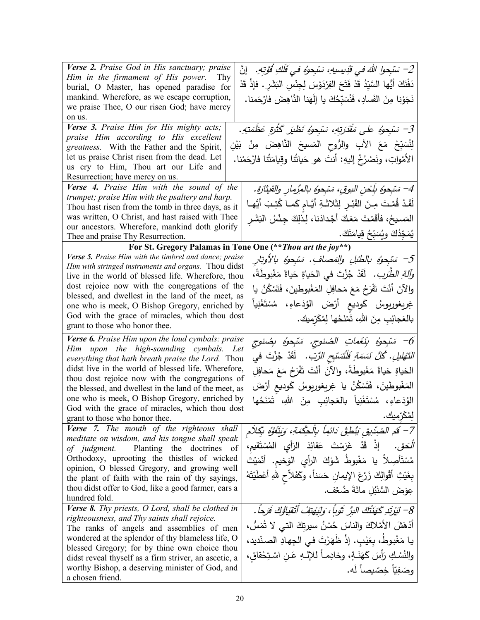| Verse 2. Praise God in His sanctuary; praise                                                                          | 2– سَبْحوا اللهَ في قَدِيسِيهِ، سَبْحوُه في فَلَكِ قُوَّتِهِ. ﴿نَّ                 |
|-----------------------------------------------------------------------------------------------------------------------|------------------------------------------------------------------------------------|
| Him in the firmament of His power. Thy                                                                                | دَفْنَكَ أَيُّها السَّيِّدُ قَدْ فَتَحَ الفِرْدَوْسَ لِجِنْسِ البَشَرِ . فإذْ قَدْ |
| burial, O Master, has opened paradise for                                                                             |                                                                                    |
| mankind. Wherefore, as we escape corruption,<br>we praise Thee, O our risen God; have mercy                           | نَجَوْنا مِنَ الفَسادِ، فَنُسَبِّحُكَ يا إِلَهَنا النَّاهِضَ فارْحَمنا.            |
| on us.                                                                                                                |                                                                                    |
| Verse 3. Praise Him for His mighty acts;                                                                              | 3– سَبْحِوُهِ على مَقْدَرتِهِ، سَبْحِوُهِ نَظْيَرِ كَثْرَةٍ عَظَمَتِهِ.            |
| praise Him according to His excellent                                                                                 |                                                                                    |
| greatness. With the Father and the Spirit,                                                                            | لِثُمَبِّحْ  مَعَ   الآبِ   والرُّوحِ   المَسيحَ   النَّاهِضَ   مِنْ   بَيْنِ      |
| let us praise Christ risen from the dead. Let                                                                         | الأمْواتِ، ونَصْرُخْ إليهِ: أنتَ هو حَياتُنا وقِيامَتُنا فارْحَمْنا.               |
| us cry to Him, Thou art our Life and                                                                                  |                                                                                    |
| Resurrection; have mercy on us.                                                                                       |                                                                                    |
| Verse 4. Praise Him with the sound of the                                                                             | 4– سَبْحِوُه بِلِْحْنِ الْبوقِ، سَبْحِوُه بِالْمِزْمِارِ والقيثارَةِ.              |
| trumpet; praise Him with the psaltery and harp.                                                                       |                                                                                    |
| Thou hast risen from the tomb in three days, as it                                                                    | لَقَدْ قُمْتَ مِنَ القَبْرِ لِثَلاثَـةِ أَيَّـامٍ كَمـا كُتِـبَ أَيُّهـا           |
| was written, O Christ, and hast raised with Thee                                                                      | المَسيحُ، فأقَمْتَ مَعَكَ أَجْدادَنا، لِـذلِكَ جِنْسُ النَشَرِ                     |
| our ancestors. Wherefore, mankind doth glorify                                                                        | يُمَجِّدُكَ ويُسَبِّحُ قِيامَتَكَ.                                                 |
| Thee and praise Thy Resurrection.                                                                                     |                                                                                    |
| For St. Gregory Palamas in Tone One (** Thou art the joy**)<br>Verse 5. Praise Him with the timbrel and dance; praise |                                                                                    |
| Him with stringed instruments and organs. Thou didst                                                                  | 5– سَبْحِوُه بالطُّبْلِ والمَصافِ. سَبْحِوُه بالأوتارِ                             |
| live in the world of blessed life. Wherefore, thou                                                                    | <i>وآلةِ الطَّرَب.</i> لَقَدْ جُزْتَ في الحَياةِ حَياةً مَغْبوطَةً،                |
| dost rejoice now with the congregations of the                                                                        | والآنَ أَنْتَ تَفْرَحُ مَعَ مَحافِلِ المَغْبوطينَ، فَتَسْكُنُ يا                   |
| blessed, and dwellest in the land of the meet, as                                                                     |                                                                                    |
| one who is meek, O Bishop Gregory, enriched by                                                                        | غِريغوريوسُ كَوديع أَرْضَ الوُدَعاءِ، مُسْتَغْنِياً                                |
| God with the grace of miracles, which thou dost                                                                       | بالعَجائِبِ مِنَ اللهِ، تَمْنَحُها لِمُكَرِّمِيك.                                  |
| grant to those who honor thee.                                                                                        |                                                                                    |
| <b>Verse 6.</b> Praise Him upon the loud cymbals: praise                                                              | ر سَبِّحوهُ بِنَغَماتِ الصُنوجِ. سَبِّحوهُ بِصُنوج $\delta$                        |
| Him upon the high-sounding cymbals. Let                                                                               | النَّهْليلِ. كُلُّ نَسَمَةٍ فَلْتُسَبِّحِ الرَّبِّ. ۖ لَقَدْ جُزْتَ في             |
| everything that hath breath praise the Lord. Thou                                                                     |                                                                                    |
| didst live in the world of blessed life. Wherefore,<br>thou dost rejoice now with the congregations of                | الحَياةِ حَياةً مَغْبوطَةً، والآنَ أَنْتَ تَفْرَحُ مَعَ مَحافِلِ                   |
| the blessed, and dwellest in the land of the meet, as                                                                 | المَغْبوطينَ، فَتَسْكُنُ يا غِريغوريوسُ كَوديع أَرْضَ                              |
| one who is meek, O Bishop Gregory, enriched by                                                                        |                                                                                    |
| God with the grace of miracles, which thou dost                                                                       | الوُدَعاءِ، مُسْتَغْنِياً بالعَجائِبِ مِنَ اللهِ، تَمْنَحُها                       |
| grant to those who honor thee.                                                                                        | لمُكَرِّميك.                                                                       |
| Verse 7. The mouth of the righteous shall                                                                             | 7– قَمْ الصِّدِّيقِ يَنْطِقُ دَائِماً بِالْحُكْمَةِ، وَيَتَفَوَّهُ بِكَلاَم        |
| meditate on wisdom, and his tongue shall speak                                                                        |                                                                                    |
| <i>of judgment</i> . Planting the doctrines of                                                                        | إِذْ قَدْ غَرَسْتَ عَقَائِدَ الرَأِيِ الْمُسْتَقيمِ،                               |
| Orthodoxy, uprooting the thistles of wicked                                                                           | مُسْتَأْصِلاً يا مَغْبوطُ شَوْكَ الرأي الوَخيم. أَنْمَيْتَ                         |
| opinion, O blessed Gregory, and growing well                                                                          | بِغَيْثِ أَقْوِالِكَ زَرْعَ الإِيمانِ حَسَناً، وكَفَلاَحٍ للهِ أَعْطَيْتَهُ        |
| the plant of faith with the rain of thy sayings,                                                                      |                                                                                    |
| thou didst offer to God, like a good farmer, ears a<br>hundred fold.                                                  | عِوَضَ السُّنْبُلِ مائَةَ ضُعْف.                                                   |
| Verse 8. Thy priests, O Lord, shall be clothed in                                                                     | 8– لَيُرتَدِ كَهَنَتُكَ البِرَّ ثَوباً ، وَلَيَهْتِفُ أَنْقَبِاؤُكَ فَرَجاً .      |
| righteousness, and Thy saints shall rejoice.                                                                          |                                                                                    |
| The ranks of angels and assemblies of men                                                                             | أَدْهَشَ الأَمْلاكَ والناسَ حُسْنُ سيرتكَ التـي لا تُمَسُّ،                        |
| wondered at the splendor of thy blameless life, O                                                                     | يا مَغْبوطُ، بِعَيْبٍ. إذْ ظَهَرْتَ في الجِهادِ الصنْديد،                          |
| blessed Gregory; for by thine own choice thou                                                                         |                                                                                    |
| didst reveal thyself as a firm striver, an ascetic, a                                                                 | والنُسْكِ رَأْسَ كَهَذَةٍ، وخادِمـاً للإلـهِ عَـنِ اسْـتِحْقاقِ،                   |
| worthy Bishop, a deserving minister of God, and                                                                       | وصَفِيّاً خِصّيصاً لَه.                                                            |
| a chosen friend.                                                                                                      |                                                                                    |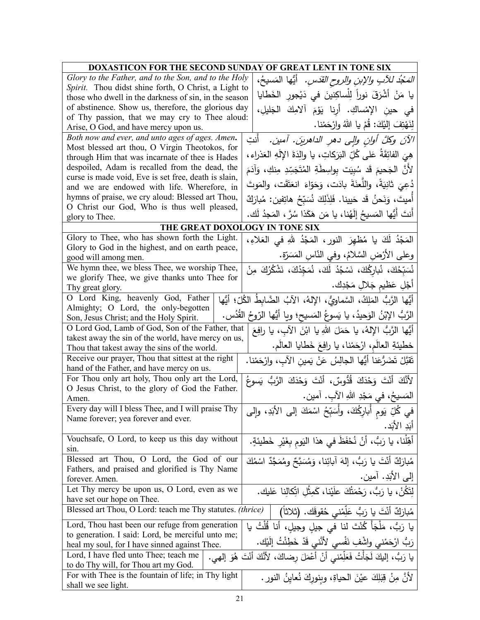| DOXASTICON FOR THE SECOND SUNDAY OF GREAT LENT IN TONE SIX                                                   |                                                                                       |  |  |  |
|--------------------------------------------------------------------------------------------------------------|---------------------------------------------------------------------------------------|--|--|--|
| Glory to the Father, and to the Son, and to the Holy                                                         | <i>التَعبُّدُ للآبِ والإبنِ والروحِ القَدَسِ.</i> أَيُّها  المَسيحُ،                  |  |  |  |
| Spirit. Thou didst shine forth, O Christ, a Light to                                                         | يا مَنْ أَشْرَقَ نوراً لِلْساكِنينَ في دَيْجور الخَطايا                               |  |  |  |
| those who dwell in the darkness of sin, in the season<br>of abstinence. Show us, therefore, the glorious day | في حين الإمْساكِ. أرنا يَوْمَ آلامِكَ الجَليلِ،                                       |  |  |  |
| of Thy passion, that we may cry to Thee aloud:                                                               |                                                                                       |  |  |  |
| Arise, O God, and have mercy upon us.                                                                        | لِنَهْتِفَ إِلَيْكَ: قُمْ يا اللَّهُ وارْحَمْنا.                                      |  |  |  |
| Both now and ever, and unto ages of ages. Amen.                                                              | الآنَ وكلَّ أُوانِ وإلى دهرِ الداهرينَ. آمين.   أنتِ                                  |  |  |  |
| Most blessed art thou, O Virgin Theotokos, for                                                               | هِيَ الفائِقَةُ عَلى كُلِّ البَرَكاتِ، يا والِدَةَ الإِلَهِ العَذراءِ،                |  |  |  |
| through Him that was incarnate of thee is Hades                                                              |                                                                                       |  |  |  |
| despoiled, Adam is recalled from the dead, the<br>curse is made void, Eve is set free, death is slain,       | لأنَّ الجَحيمَ قَد سُبِيَت بواسِطَةِ المُتَجَسِّدِ مِنكِ، وَآدَمَ                     |  |  |  |
| and we are endowed with life. Wherefore, in                                                                  | دُعِيَ ثانِيَةً، واللُّعنَةَ بادَت، وَحَوّاءَ انعَتَقَت، والمَوتَ                     |  |  |  |
| hymns of praise, we cry aloud: Blessed art Thou,                                                             | أُميتَ، وَنَحنُ قَد حَيينا. فَلِذَلِكَ نُسَبِّحُ هاتِفين: مُبارَكٌ                    |  |  |  |
| O Christ our God, Who is thus well pleased,                                                                  |                                                                                       |  |  |  |
| glory to Thee.                                                                                               | أنتَ أَيُّها المَسيحُ إِلَهُنا، يا مَن هَكَذا سُرَّ ، المَجدُ لَك.                    |  |  |  |
| THE GREAT DOXOLOGY IN TONE SIX                                                                               |                                                                                       |  |  |  |
| Glory to Thee, who has shown forth the Light.                                                                | المَجْدُ لَكَ يا مُظْهِرَ النورِ ، المَجْدُ للهِ في العَلاءِ ،                        |  |  |  |
| Glory to God in the highest, and on earth peace,                                                             | وعلى الأرْضِ السَّلامُ، وفي النَّاسِ المَسَرَّة.                                      |  |  |  |
| good will among men.<br>We hymn thee, we bless Thee, we worship Thee,                                        |                                                                                       |  |  |  |
| we glorify Thee, we give thanks unto Thee for                                                                | نُسَبِّحُكَ، نُبارِكُكَ، نَسْجُدُ لَكَ، نُمَجِّدُكَ، نَشْكُرُكَ مِنْ                  |  |  |  |
| Thy great glory.                                                                                             | أَجْلِ عَظيم جَلالٍ مَجْدِك.                                                          |  |  |  |
| O Lord King, heavenly God, Father                                                                            | أَيُّها الرَّبُّ المَلِكُ، السَّماويُّ، الإلهُ، الآبُ الضَّابطُ الكُلِّ؛ أيُّها       |  |  |  |
| Almighty; O Lord, the only-begotten                                                                          |                                                                                       |  |  |  |
| Son, Jesus Christ; and the Holy Spirit.                                                                      | الرَّبُّ الإبْنُ الوَحيدُ، يا يَسوعُ المَسيح؛ ويا أيُّها الرّوحُ القُدُس.             |  |  |  |
| O Lord God, Lamb of God, Son of the Father, that                                                             | أَيُّها الرَّبُّ اﻹلهُ، يا حَمَلَ اللهِ يا ابْنَ اﻵبٍ، يا رافِعَ                      |  |  |  |
| takest away the sin of the world, have mercy on us,<br>Thou that takest away the sins of the world.          | خطيئةِ العالَمِ، ارْحَمْنا، يا رافِعَ خَطايا العالَمِ.                                |  |  |  |
| Receive our prayer, Thou that sittest at the right                                                           |                                                                                       |  |  |  |
| hand of the Father, and have mercy on us.                                                                    | نَقَبَّلْ تَضَرُّعَنا أَيُّها الْجالِسُ عَنْ يَمينِ الآبِ، وارْحَمْنا.                |  |  |  |
| For Thou only art holy, Thou only art the Lord,                                                              | لأَنَّكَ أَنْتَ وَحْدَكَ قُدُّوسٌ، أَنْتَ وَحْدَكَ الرَّبُّ يَسوعُ                    |  |  |  |
| O Jesus Christ, to the glory of God the Father.                                                              |                                                                                       |  |  |  |
| Amen.                                                                                                        | المَسيحُ، في مَجْدِ اللهِ الآبِ. آمين.                                                |  |  |  |
| Every day will I bless Thee, and I will praise Thy                                                           | في كُلِّ يَومٍ أَبارِكُكَ، وأَسَبِّحُ اسْمَكَ إلى الأَبَدِ، وإِلى                     |  |  |  |
| Name forever; yea forever and ever.                                                                          | أَبَدِ الأَبَدِ.                                                                      |  |  |  |
| Vouchsafe, O Lord, to keep us this day without                                                               | أَهِّلْنَا، يا رَبُّ، أَنْ نُحْفَظَ في هذا النِّومِ بِغَيْرِ خَطْيئةٍ.                |  |  |  |
| sin.                                                                                                         |                                                                                       |  |  |  |
| Blessed art Thou, O Lord, the God of our                                                                     | مُبارَكٌ أَنْتَ يا رَبُّ، إلهَ آبائِنا، وَمُسَبَّحٌ ومُمَجَّدٌ اسْمُكَ                |  |  |  |
| Fathers, and praised and glorified is Thy Name<br>forever. Amen.                                             | إلى الأبَدِ. آمين.                                                                    |  |  |  |
| Let Thy mercy be upon us, O Lord, even as we                                                                 | لتَكُنْ، يا رَبُّ، رَحْمَتُكَ علَيْنا، كَمِثْلِ اتِّكالِنا عَليك.                     |  |  |  |
| have set our hope on Thee.                                                                                   |                                                                                       |  |  |  |
| Blessed art Thou, O Lord: teach me Thy statutes. (thrice)                                                    | مُبارَكٌ أَنْتَ يا رَبُّ عَلِّمْنى حُقوقَك. (ثلاثاً)                                  |  |  |  |
| Lord, Thou hast been our refuge from generation                                                              | يا رَبٌّ، مَلْجَأً كُنْتَ لنا في جيلٍ وجيلٍ، أنا قُلْتُ يا                            |  |  |  |
| to generation. I said: Lord, be merciful unto me;                                                            | رَبُّ ارْحَمْني واشْفِ نَفْسي لأنَّني قَدْ خَطِئْتُ إِلَيْك.                          |  |  |  |
| heal my soul, for I have sinned against Thee.<br>Lord, I have fled unto Thee; teach me                       |                                                                                       |  |  |  |
| to do Thy will, for Thou art my God.                                                                         | يا رَبٍّ، إليكَ لَجَأْتُ فَعَلِّمْني أَنْ أَعْمَلَ رِضاكَ، لأَنَّكَ أَنْتَ هُوَ إلهي. |  |  |  |
| For with Thee is the fountain of life; in Thy light                                                          | لأنَّ مِنْ قِبَلِكَ عيْنَ الحياةِ، وبنورِكَ نُعايِنُ النورِ .                         |  |  |  |
| shall we see light.                                                                                          |                                                                                       |  |  |  |